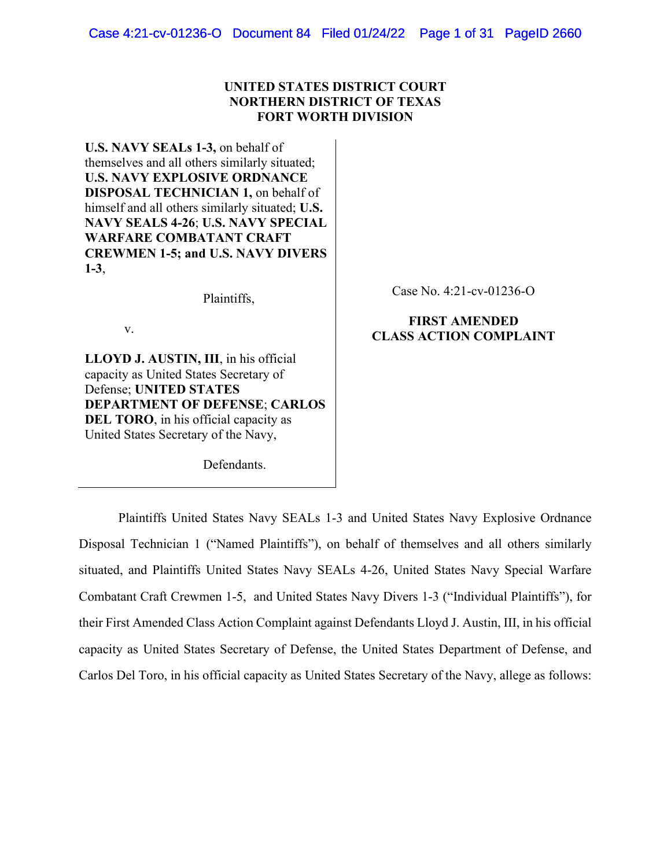# **UNITED STATES DISTRICT COURT NORTHERN DISTRICT OF TEXAS FORT WORTH DIVISION**

**U.S. NAVY SEALs 1-3,** on behalf of themselves and all others similarly situated; **U.S. NAVY EXPLOSIVE ORDNANCE DISPOSAL TECHNICIAN 1,** on behalf of himself and all others similarly situated; **U.S. NAVY SEALS 4-26**; **U.S. NAVY SPECIAL WARFARE COMBATANT CRAFT CREWMEN 1-5; and U.S. NAVY DIVERS 1-3**,

Plaintiffs,

v.

**LLOYD J. AUSTIN, III**, in his official capacity as United States Secretary of Defense; **UNITED STATES DEPARTMENT OF DEFENSE**; **CARLOS DEL TORO**, in his official capacity as United States Secretary of the Navy,

Defendants.

Case No. 4:21-cv-01236-O

# **FIRST AMENDED CLASS ACTION COMPLAINT**

Plaintiffs United States Navy SEALs 1-3 and United States Navy Explosive Ordnance Disposal Technician 1 ("Named Plaintiffs"), on behalf of themselves and all others similarly situated, and Plaintiffs United States Navy SEALs 4-26, United States Navy Special Warfare Combatant Craft Crewmen 1-5, and United States Navy Divers 1-3 ("Individual Plaintiffs"), for their First Amended Class Action Complaint against Defendants Lloyd J. Austin, III, in his official capacity as United States Secretary of Defense, the United States Department of Defense, and Carlos Del Toro, in his official capacity as United States Secretary of the Navy, allege as follows: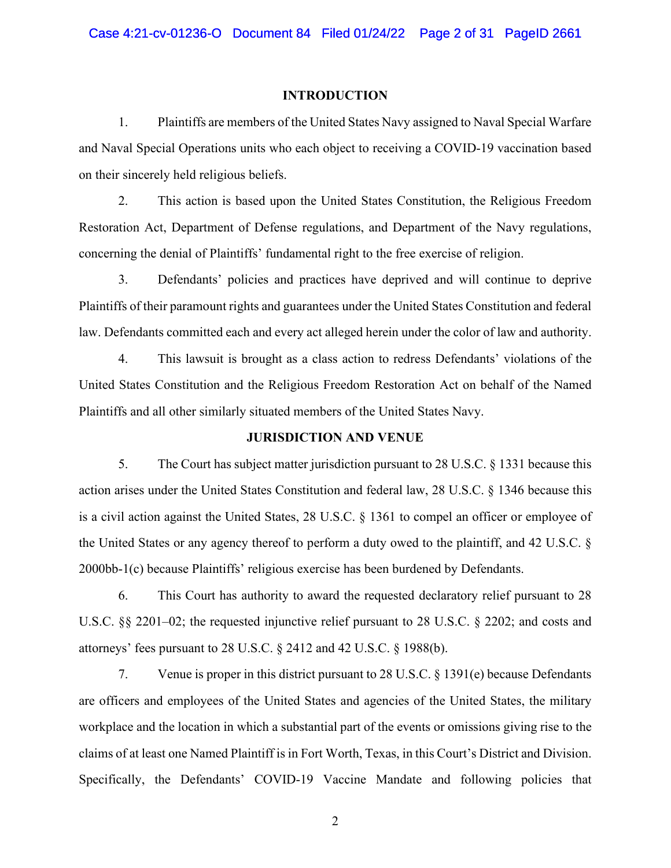#### **INTRODUCTION**

1. Plaintiffs are members of the United States Navy assigned to Naval Special Warfare and Naval Special Operations units who each object to receiving a COVID-19 vaccination based on their sincerely held religious beliefs.

2. This action is based upon the United States Constitution, the Religious Freedom Restoration Act, Department of Defense regulations, and Department of the Navy regulations, concerning the denial of Plaintiffs' fundamental right to the free exercise of religion.

3. Defendants' policies and practices have deprived and will continue to deprive Plaintiffs of their paramount rights and guarantees under the United States Constitution and federal law. Defendants committed each and every act alleged herein under the color of law and authority.

4. This lawsuit is brought as a class action to redress Defendants' violations of the United States Constitution and the Religious Freedom Restoration Act on behalf of the Named Plaintiffs and all other similarly situated members of the United States Navy.

### **JURISDICTION AND VENUE**

5. The Court has subject matter jurisdiction pursuant to 28 U.S.C. § 1331 because this action arises under the United States Constitution and federal law, 28 U.S.C. § 1346 because this is a civil action against the United States, 28 U.S.C. § 1361 to compel an officer or employee of the United States or any agency thereof to perform a duty owed to the plaintiff, and 42 U.S.C. § 2000bb-1(c) because Plaintiffs' religious exercise has been burdened by Defendants.

6. This Court has authority to award the requested declaratory relief pursuant to 28 U.S.C. §§ 2201–02; the requested injunctive relief pursuant to 28 U.S.C. § 2202; and costs and attorneys' fees pursuant to 28 U.S.C. § 2412 and 42 U.S.C. § 1988(b).

7. Venue is proper in this district pursuant to 28 U.S.C. § 1391(e) because Defendants are officers and employees of the United States and agencies of the United States, the military workplace and the location in which a substantial part of the events or omissions giving rise to the claims of at least one Named Plaintiff is in Fort Worth, Texas, in this Court's District and Division. Specifically, the Defendants' COVID-19 Vaccine Mandate and following policies that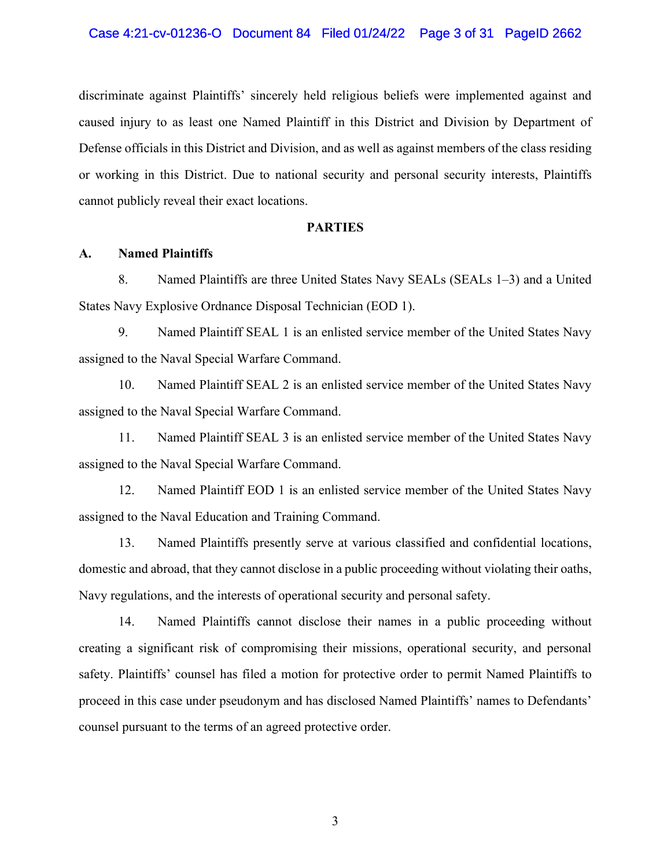discriminate against Plaintiffs' sincerely held religious beliefs were implemented against and caused injury to as least one Named Plaintiff in this District and Division by Department of Defense officials in this District and Division, and as well as against members of the class residing or working in this District. Due to national security and personal security interests, Plaintiffs cannot publicly reveal their exact locations.

#### **PARTIES**

### **A. Named Plaintiffs**

8. Named Plaintiffs are three United States Navy SEALs (SEALs 1–3) and a United States Navy Explosive Ordnance Disposal Technician (EOD 1).

9. Named Plaintiff SEAL 1 is an enlisted service member of the United States Navy assigned to the Naval Special Warfare Command.

10. Named Plaintiff SEAL 2 is an enlisted service member of the United States Navy assigned to the Naval Special Warfare Command.

11. Named Plaintiff SEAL 3 is an enlisted service member of the United States Navy assigned to the Naval Special Warfare Command.

12. Named Plaintiff EOD 1 is an enlisted service member of the United States Navy assigned to the Naval Education and Training Command.

13. Named Plaintiffs presently serve at various classified and confidential locations, domestic and abroad, that they cannot disclose in a public proceeding without violating their oaths, Navy regulations, and the interests of operational security and personal safety.

14. Named Plaintiffs cannot disclose their names in a public proceeding without creating a significant risk of compromising their missions, operational security, and personal safety. Plaintiffs' counsel has filed a motion for protective order to permit Named Plaintiffs to proceed in this case under pseudonym and has disclosed Named Plaintiffs' names to Defendants' counsel pursuant to the terms of an agreed protective order.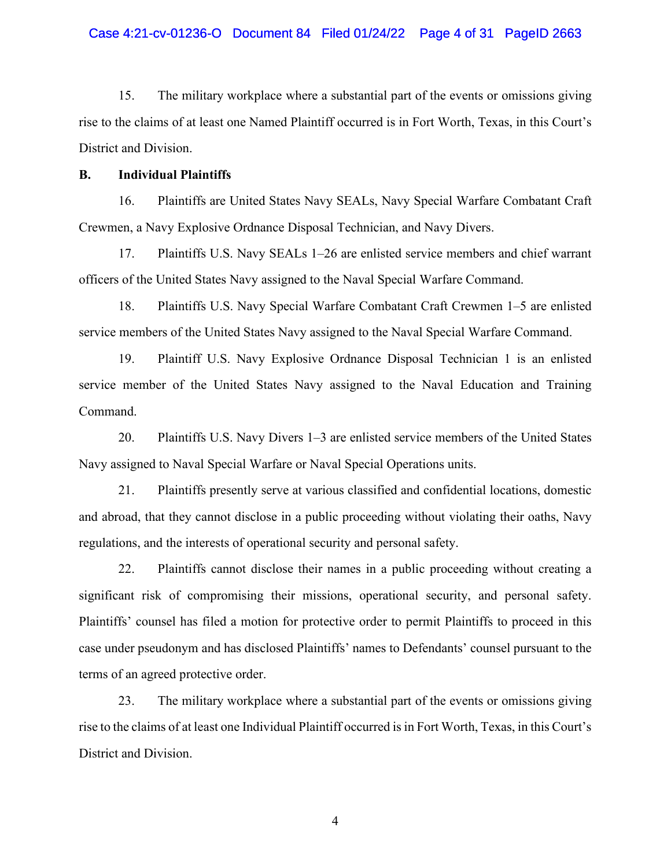# Case 4:21-cv-01236-O Document 84 Filed 01/24/22 Page 4 of 31 PageID 2663

15. The military workplace where a substantial part of the events or omissions giving rise to the claims of at least one Named Plaintiff occurred is in Fort Worth, Texas, in this Court's District and Division.

### **B. Individual Plaintiffs**

16. Plaintiffs are United States Navy SEALs, Navy Special Warfare Combatant Craft Crewmen, a Navy Explosive Ordnance Disposal Technician, and Navy Divers.

17. Plaintiffs U.S. Navy SEALs 1–26 are enlisted service members and chief warrant officers of the United States Navy assigned to the Naval Special Warfare Command.

18. Plaintiffs U.S. Navy Special Warfare Combatant Craft Crewmen 1–5 are enlisted service members of the United States Navy assigned to the Naval Special Warfare Command.

19. Plaintiff U.S. Navy Explosive Ordnance Disposal Technician 1 is an enlisted service member of the United States Navy assigned to the Naval Education and Training Command.

20. Plaintiffs U.S. Navy Divers 1–3 are enlisted service members of the United States Navy assigned to Naval Special Warfare or Naval Special Operations units.

21. Plaintiffs presently serve at various classified and confidential locations, domestic and abroad, that they cannot disclose in a public proceeding without violating their oaths, Navy regulations, and the interests of operational security and personal safety.

22. Plaintiffs cannot disclose their names in a public proceeding without creating a significant risk of compromising their missions, operational security, and personal safety. Plaintiffs' counsel has filed a motion for protective order to permit Plaintiffs to proceed in this case under pseudonym and has disclosed Plaintiffs' names to Defendants' counsel pursuant to the terms of an agreed protective order.

23. The military workplace where a substantial part of the events or omissions giving rise to the claims of at least one Individual Plaintiff occurred is in Fort Worth, Texas, in this Court's District and Division.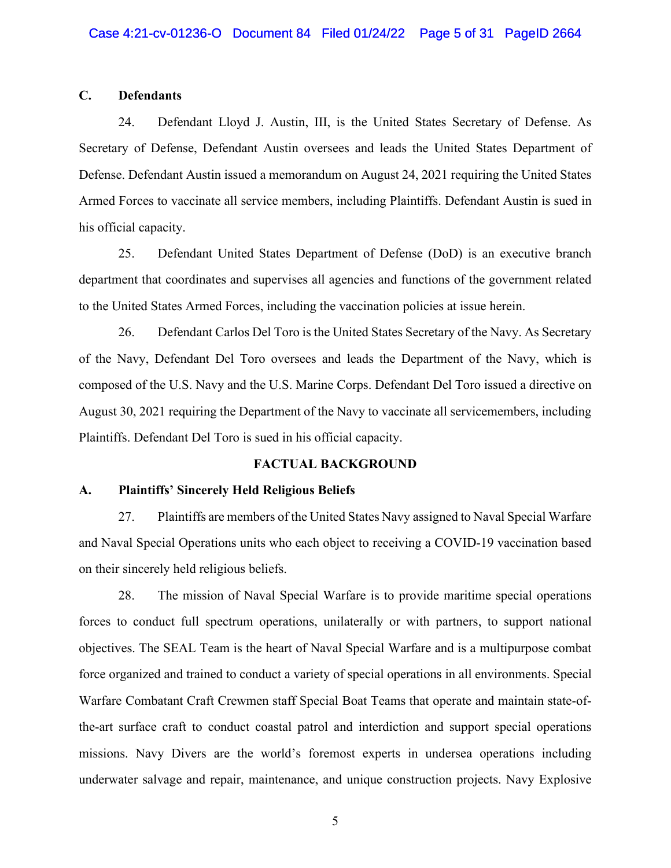### **C. Defendants**

24. Defendant Lloyd J. Austin, III, is the United States Secretary of Defense. As Secretary of Defense, Defendant Austin oversees and leads the United States Department of Defense. Defendant Austin issued a memorandum on August 24, 2021 requiring the United States Armed Forces to vaccinate all service members, including Plaintiffs. Defendant Austin is sued in his official capacity.

25. Defendant United States Department of Defense (DoD) is an executive branch department that coordinates and supervises all agencies and functions of the government related to the United States Armed Forces, including the vaccination policies at issue herein.

26. Defendant Carlos Del Toro is the United States Secretary of the Navy. As Secretary of the Navy, Defendant Del Toro oversees and leads the Department of the Navy, which is composed of the U.S. Navy and the U.S. Marine Corps. Defendant Del Toro issued a directive on August 30, 2021 requiring the Department of the Navy to vaccinate all servicemembers, including Plaintiffs. Defendant Del Toro is sued in his official capacity.

# **FACTUAL BACKGROUND**

#### **A. Plaintiffs' Sincerely Held Religious Beliefs**

27. Plaintiffs are members of the United States Navy assigned to Naval Special Warfare and Naval Special Operations units who each object to receiving a COVID-19 vaccination based on their sincerely held religious beliefs.

28. The mission of Naval Special Warfare is to provide maritime special operations forces to conduct full spectrum operations, unilaterally or with partners, to support national objectives. The SEAL Team is the heart of Naval Special Warfare and is a multipurpose combat force organized and trained to conduct a variety of special operations in all environments. Special Warfare Combatant Craft Crewmen staff Special Boat Teams that operate and maintain state-ofthe-art surface craft to conduct coastal patrol and interdiction and support special operations missions. Navy Divers are the world's foremost experts in undersea operations including underwater salvage and repair, maintenance, and unique construction projects. Navy Explosive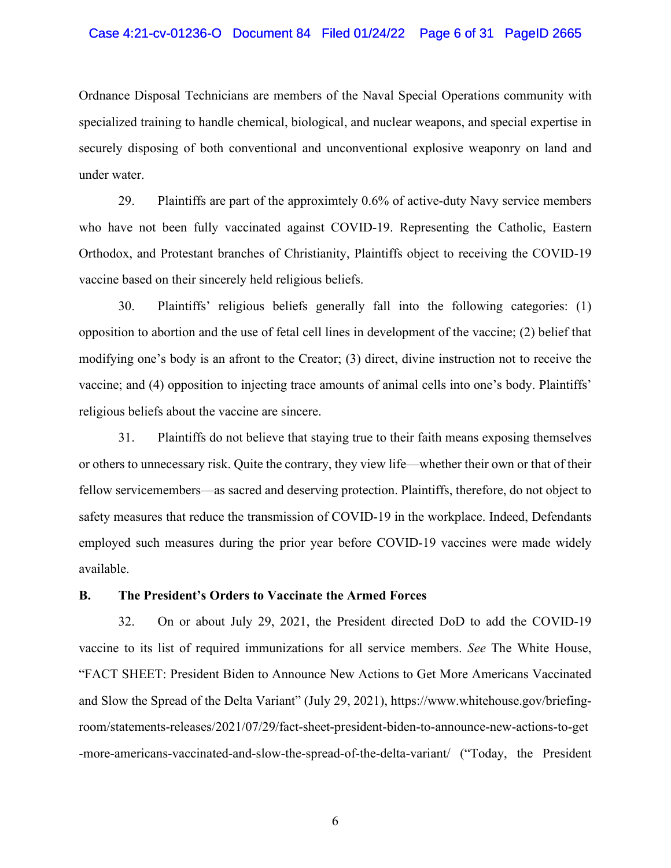### Case 4:21-cv-01236-O Document 84 Filed 01/24/22 Page 6 of 31 PageID 2665

Ordnance Disposal Technicians are members of the Naval Special Operations community with specialized training to handle chemical, biological, and nuclear weapons, and special expertise in securely disposing of both conventional and unconventional explosive weaponry on land and under water.

29. Plaintiffs are part of the approximtely 0.6% of active-duty Navy service members who have not been fully vaccinated against COVID-19. Representing the Catholic, Eastern Orthodox, and Protestant branches of Christianity, Plaintiffs object to receiving the COVID-19 vaccine based on their sincerely held religious beliefs.

30. Plaintiffs' religious beliefs generally fall into the following categories: (1) opposition to abortion and the use of fetal cell lines in development of the vaccine; (2) belief that modifying one's body is an afront to the Creator; (3) direct, divine instruction not to receive the vaccine; and (4) opposition to injecting trace amounts of animal cells into one's body. Plaintiffs' religious beliefs about the vaccine are sincere.

31. Plaintiffs do not believe that staying true to their faith means exposing themselves or others to unnecessary risk. Quite the contrary, they view life—whether their own or that of their fellow servicemembers—as sacred and deserving protection. Plaintiffs, therefore, do not object to safety measures that reduce the transmission of COVID-19 in the workplace. Indeed, Defendants employed such measures during the prior year before COVID-19 vaccines were made widely available.

### **B. The President's Orders to Vaccinate the Armed Forces**

32. On or about July 29, 2021, the President directed DoD to add the COVID-19 vaccine to its list of required immunizations for all service members. *See* The White House, "FACT SHEET: President Biden to Announce New Actions to Get More Americans Vaccinated and Slow the Spread of the Delta Variant" (July 29, 2021), https://www.whitehouse.gov/briefingroom/statements-releases/2021/07/29/fact-sheet-president-biden-to-announce-new-actions-to-get -more-americans-vaccinated-and-slow-the-spread-of-the-delta-variant/ ("Today, the President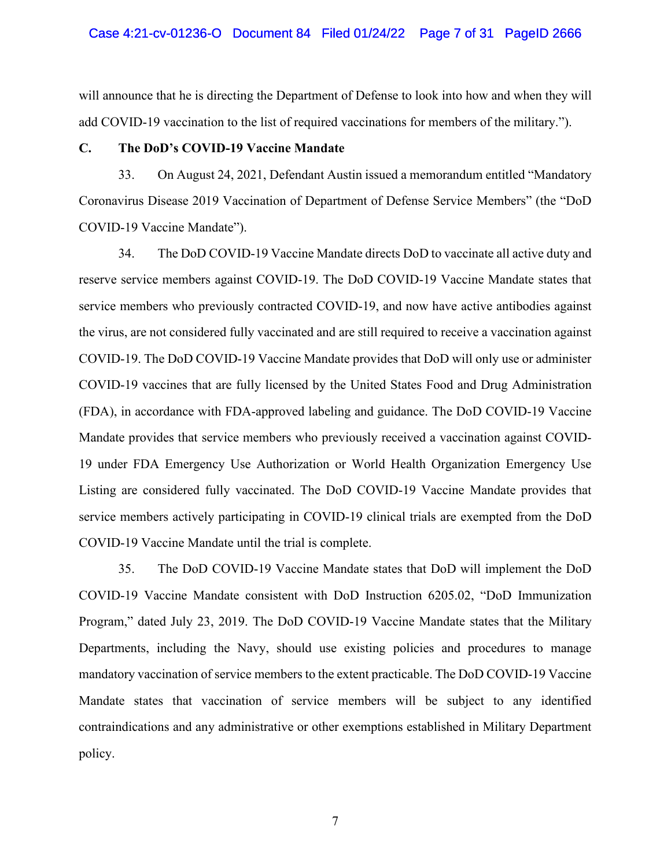will announce that he is directing the Department of Defense to look into how and when they will add COVID-19 vaccination to the list of required vaccinations for members of the military.").

### **C. The DoD's COVID-19 Vaccine Mandate**

33. On August 24, 2021, Defendant Austin issued a memorandum entitled "Mandatory Coronavirus Disease 2019 Vaccination of Department of Defense Service Members" (the "DoD COVID-19 Vaccine Mandate").

34. The DoD COVID-19 Vaccine Mandate directs DoD to vaccinate all active duty and reserve service members against COVID-19. The DoD COVID-19 Vaccine Mandate states that service members who previously contracted COVID-19, and now have active antibodies against the virus, are not considered fully vaccinated and are still required to receive a vaccination against COVID-19. The DoD COVID-19 Vaccine Mandate provides that DoD will only use or administer COVID-19 vaccines that are fully licensed by the United States Food and Drug Administration (FDA), in accordance with FDA-approved labeling and guidance. The DoD COVID-19 Vaccine Mandate provides that service members who previously received a vaccination against COVID-19 under FDA Emergency Use Authorization or World Health Organization Emergency Use Listing are considered fully vaccinated. The DoD COVID-19 Vaccine Mandate provides that service members actively participating in COVID-19 clinical trials are exempted from the DoD COVID-19 Vaccine Mandate until the trial is complete.

35. The DoD COVID-19 Vaccine Mandate states that DoD will implement the DoD COVID-19 Vaccine Mandate consistent with DoD Instruction 6205.02, "DoD Immunization Program," dated July 23, 2019. The DoD COVID-19 Vaccine Mandate states that the Military Departments, including the Navy, should use existing policies and procedures to manage mandatory vaccination of service members to the extent practicable. The DoD COVID-19 Vaccine Mandate states that vaccination of service members will be subject to any identified contraindications and any administrative or other exemptions established in Military Department policy.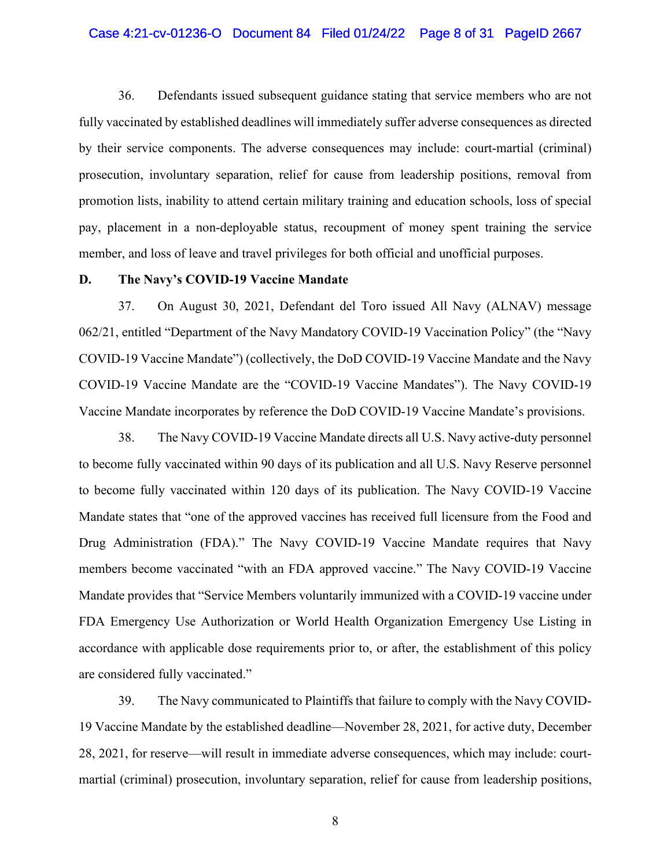#### Case 4:21-cv-01236-O Document 84 Filed 01/24/22 Page 8 of 31 PageID 2667

36. Defendants issued subsequent guidance stating that service members who are not fully vaccinated by established deadlines will immediately suffer adverse consequences as directed by their service components. The adverse consequences may include: court-martial (criminal) prosecution, involuntary separation, relief for cause from leadership positions, removal from promotion lists, inability to attend certain military training and education schools, loss of special pay, placement in a non-deployable status, recoupment of money spent training the service member, and loss of leave and travel privileges for both official and unofficial purposes.

#### **D. The Navy's COVID-19 Vaccine Mandate**

37. On August 30, 2021, Defendant del Toro issued All Navy (ALNAV) message 062/21, entitled "Department of the Navy Mandatory COVID-19 Vaccination Policy" (the "Navy COVID-19 Vaccine Mandate") (collectively, the DoD COVID-19 Vaccine Mandate and the Navy COVID-19 Vaccine Mandate are the "COVID-19 Vaccine Mandates"). The Navy COVID-19 Vaccine Mandate incorporates by reference the DoD COVID-19 Vaccine Mandate's provisions.

38. The Navy COVID-19 Vaccine Mandate directs all U.S. Navy active-duty personnel to become fully vaccinated within 90 days of its publication and all U.S. Navy Reserve personnel to become fully vaccinated within 120 days of its publication. The Navy COVID-19 Vaccine Mandate states that "one of the approved vaccines has received full licensure from the Food and Drug Administration (FDA)." The Navy COVID-19 Vaccine Mandate requires that Navy members become vaccinated "with an FDA approved vaccine." The Navy COVID-19 Vaccine Mandate provides that "Service Members voluntarily immunized with a COVID-19 vaccine under FDA Emergency Use Authorization or World Health Organization Emergency Use Listing in accordance with applicable dose requirements prior to, or after, the establishment of this policy are considered fully vaccinated."

39. The Navy communicated to Plaintiffs that failure to comply with the Navy COVID-19 Vaccine Mandate by the established deadline—November 28, 2021, for active duty, December 28, 2021, for reserve—will result in immediate adverse consequences, which may include: courtmartial (criminal) prosecution, involuntary separation, relief for cause from leadership positions,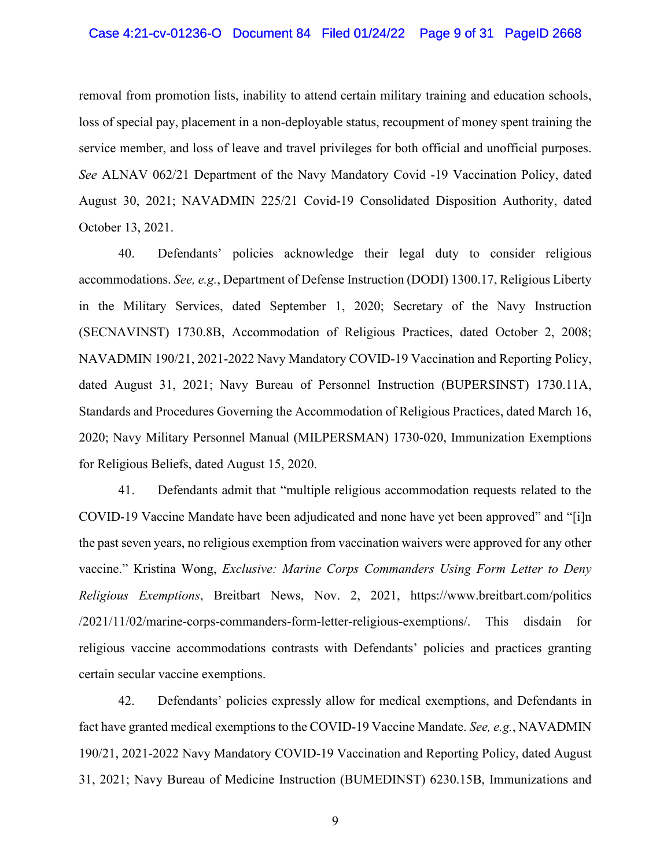### Case 4:21-cv-01236-O Document 84 Filed 01/24/22 Page 9 of 31 PageID 2668

removal from promotion lists, inability to attend certain military training and education schools, loss of special pay, placement in a non-deployable status, recoupment of money spent training the service member, and loss of leave and travel privileges for both official and unofficial purposes. *See* ALNAV 062/21 Department of the Navy Mandatory Covid -19 Vaccination Policy, dated August 30, 2021; NAVADMIN 225/21 Covid-19 Consolidated Disposition Authority, dated October 13, 2021.

40. Defendants' policies acknowledge their legal duty to consider religious accommodations. *See, e.g.*, Department of Defense Instruction (DODI) 1300.17, Religious Liberty in the Military Services, dated September 1, 2020; Secretary of the Navy Instruction (SECNAVINST) 1730.8B, Accommodation of Religious Practices, dated October 2, 2008; NAVADMIN 190/21, 2021-2022 Navy Mandatory COVID-19 Vaccination and Reporting Policy, dated August 31, 2021; Navy Bureau of Personnel Instruction (BUPERSINST) 1730.11A, Standards and Procedures Governing the Accommodation of Religious Practices, dated March 16, 2020; Navy Military Personnel Manual (MILPERSMAN) 1730-020, Immunization Exemptions for Religious Beliefs, dated August 15, 2020.

41. Defendants admit that "multiple religious accommodation requests related to the COVID-19 Vaccine Mandate have been adjudicated and none have yet been approved" and "[i]n the past seven years, no religious exemption from vaccination waivers were approved for any other vaccine." Kristina Wong, *Exclusive: Marine Corps Commanders Using Form Letter to Deny Religious Exemptions*, Breitbart News, Nov. 2, 2021, https://www.breitbart.com/politics /2021/11/02/marine-corps-commanders-form-letter-religious-exemptions/. This disdain for religious vaccine accommodations contrasts with Defendants' policies and practices granting certain secular vaccine exemptions.

42. Defendants' policies expressly allow for medical exemptions, and Defendants in fact have granted medical exemptions to the COVID-19 Vaccine Mandate. *See, e.g.*, NAVADMIN 190/21, 2021-2022 Navy Mandatory COVID-19 Vaccination and Reporting Policy, dated August 31, 2021; Navy Bureau of Medicine Instruction (BUMEDINST) 6230.15B, Immunizations and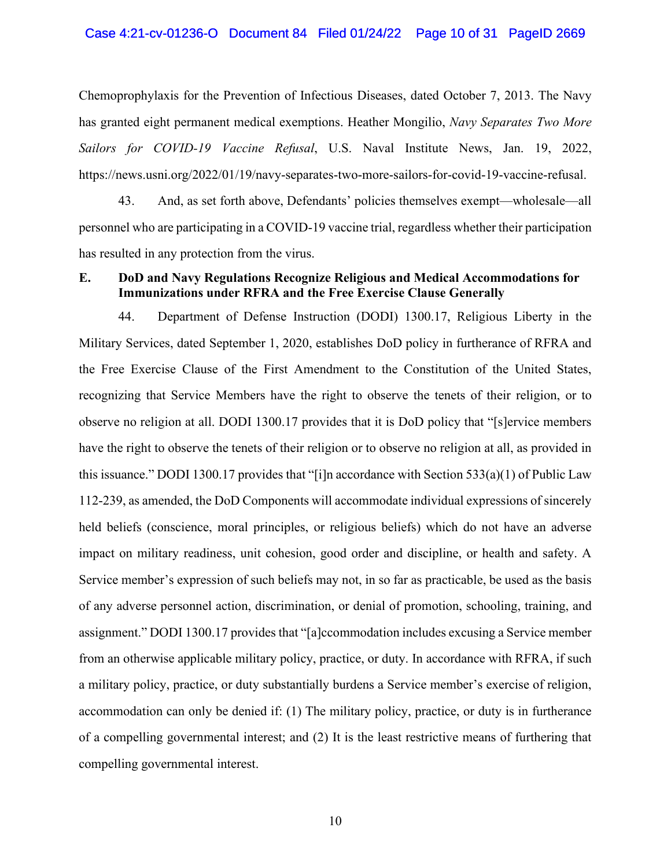Chemoprophylaxis for the Prevention of Infectious Diseases, dated October 7, 2013. The Navy has granted eight permanent medical exemptions. Heather Mongilio, *Navy Separates Two More Sailors for COVID-19 Vaccine Refusal*, U.S. Naval Institute News, Jan. 19, 2022, https://news.usni.org/2022/01/19/navy-separates-two-more-sailors-for-covid-19-vaccine-refusal.

43. And, as set forth above, Defendants' policies themselves exempt—wholesale—all personnel who are participating in a COVID-19 vaccine trial, regardless whether their participation has resulted in any protection from the virus.

# **E. DoD and Navy Regulations Recognize Religious and Medical Accommodations for Immunizations under RFRA and the Free Exercise Clause Generally**

44. Department of Defense Instruction (DODI) 1300.17, Religious Liberty in the Military Services, dated September 1, 2020, establishes DoD policy in furtherance of RFRA and the Free Exercise Clause of the First Amendment to the Constitution of the United States, recognizing that Service Members have the right to observe the tenets of their religion, or to observe no religion at all. DODI 1300.17 provides that it is DoD policy that "[s]ervice members have the right to observe the tenets of their religion or to observe no religion at all, as provided in this issuance." DODI 1300.17 provides that "[i]n accordance with Section 533(a)(1) of Public Law 112-239, as amended, the DoD Components will accommodate individual expressions of sincerely held beliefs (conscience, moral principles, or religious beliefs) which do not have an adverse impact on military readiness, unit cohesion, good order and discipline, or health and safety. A Service member's expression of such beliefs may not, in so far as practicable, be used as the basis of any adverse personnel action, discrimination, or denial of promotion, schooling, training, and assignment." DODI 1300.17 provides that "[a]ccommodation includes excusing a Service member from an otherwise applicable military policy, practice, or duty. In accordance with RFRA, if such a military policy, practice, or duty substantially burdens a Service member's exercise of religion, accommodation can only be denied if: (1) The military policy, practice, or duty is in furtherance of a compelling governmental interest; and (2) It is the least restrictive means of furthering that compelling governmental interest.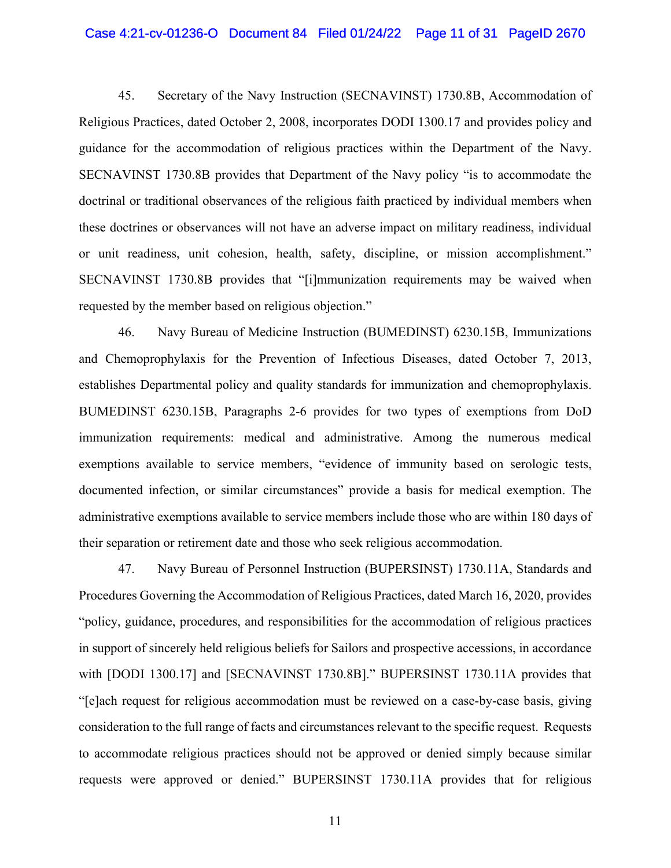#### Case 4:21-cv-01236-O Document 84 Filed 01/24/22 Page 11 of 31 PageID 2670

45. Secretary of the Navy Instruction (SECNAVINST) 1730.8B, Accommodation of Religious Practices, dated October 2, 2008, incorporates DODI 1300.17 and provides policy and guidance for the accommodation of religious practices within the Department of the Navy. SECNAVINST 1730.8B provides that Department of the Navy policy "is to accommodate the doctrinal or traditional observances of the religious faith practiced by individual members when these doctrines or observances will not have an adverse impact on military readiness, individual or unit readiness, unit cohesion, health, safety, discipline, or mission accomplishment." SECNAVINST 1730.8B provides that "[i]mmunization requirements may be waived when requested by the member based on religious objection."

46. Navy Bureau of Medicine Instruction (BUMEDINST) 6230.15B, Immunizations and Chemoprophylaxis for the Prevention of Infectious Diseases, dated October 7, 2013, establishes Departmental policy and quality standards for immunization and chemoprophylaxis. BUMEDINST 6230.15B, Paragraphs 2-6 provides for two types of exemptions from DoD immunization requirements: medical and administrative. Among the numerous medical exemptions available to service members, "evidence of immunity based on serologic tests, documented infection, or similar circumstances" provide a basis for medical exemption. The administrative exemptions available to service members include those who are within 180 days of their separation or retirement date and those who seek religious accommodation.

47. Navy Bureau of Personnel Instruction (BUPERSINST) 1730.11A, Standards and Procedures Governing the Accommodation of Religious Practices, dated March 16, 2020, provides "policy, guidance, procedures, and responsibilities for the accommodation of religious practices in support of sincerely held religious beliefs for Sailors and prospective accessions, in accordance with [DODI 1300.17] and [SECNAVINST 1730.8B]." BUPERSINST 1730.11A provides that "[e]ach request for religious accommodation must be reviewed on a case-by-case basis, giving consideration to the full range of facts and circumstances relevant to the specific request. Requests to accommodate religious practices should not be approved or denied simply because similar requests were approved or denied." BUPERSINST 1730.11A provides that for religious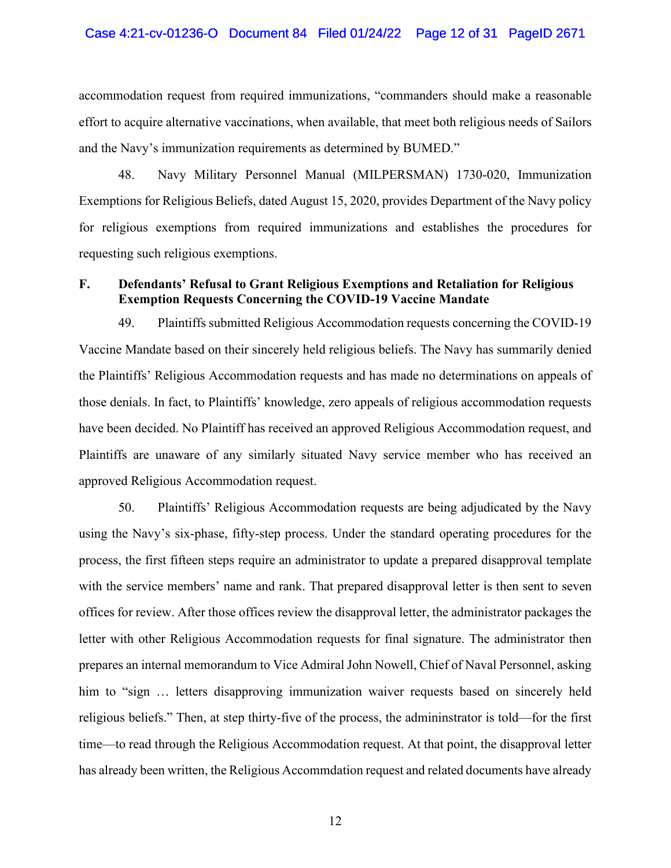### Case 4:21-cv-01236-O Document 84 Filed 01/24/22 Page 12 of 31 PageID 2671

accommodation request from required immunizations, "commanders should make a reasonable effort to acquire alternative vaccinations, when available, that meet both religious needs of Sailors and the Navy's immunization requirements as determined by BUMED."

48. Navy Military Personnel Manual (MILPERSMAN) 1730-020, Immunization Exemptions for Religious Beliefs, dated August 15, 2020, provides Department of the Navy policy for religious exemptions from required immunizations and establishes the procedures for requesting such religious exemptions.

# **F. Defendants' Refusal to Grant Religious Exemptions and Retaliation for Religious Exemption Requests Concerning the COVID-19 Vaccine Mandate**

49. Plaintiffs submitted Religious Accommodation requests concerning the COVID-19 Vaccine Mandate based on their sincerely held religious beliefs. The Navy has summarily denied the Plaintiffs' Religious Accommodation requests and has made no determinations on appeals of those denials. In fact, to Plaintiffs' knowledge, zero appeals of religious accommodation requests have been decided. No Plaintiff has received an approved Religious Accommodation request, and Plaintiffs are unaware of any similarly situated Navy service member who has received an approved Religious Accommodation request.

50. Plaintiffs' Religious Accommodation requests are being adjudicated by the Navy using the Navy's six-phase, fifty-step process. Under the standard operating procedures for the process, the first fifteen steps require an administrator to update a prepared disapproval template with the service members' name and rank. That prepared disapproval letter is then sent to seven offices for review. After those offices review the disapproval letter, the administrator packages the letter with other Religious Accommodation requests for final signature. The administrator then prepares an internal memorandum to Vice Admiral John Nowell, Chief of Naval Personnel, asking him to "sign ... letters disapproving immunization waiver requests based on sincerely held religious beliefs." Then, at step thirty-five of the process, the admininstrator is told—for the first time—to read through the Religious Accommodation request. At that point, the disapproval letter has already been written, the Religious Accommdation request and related documents have already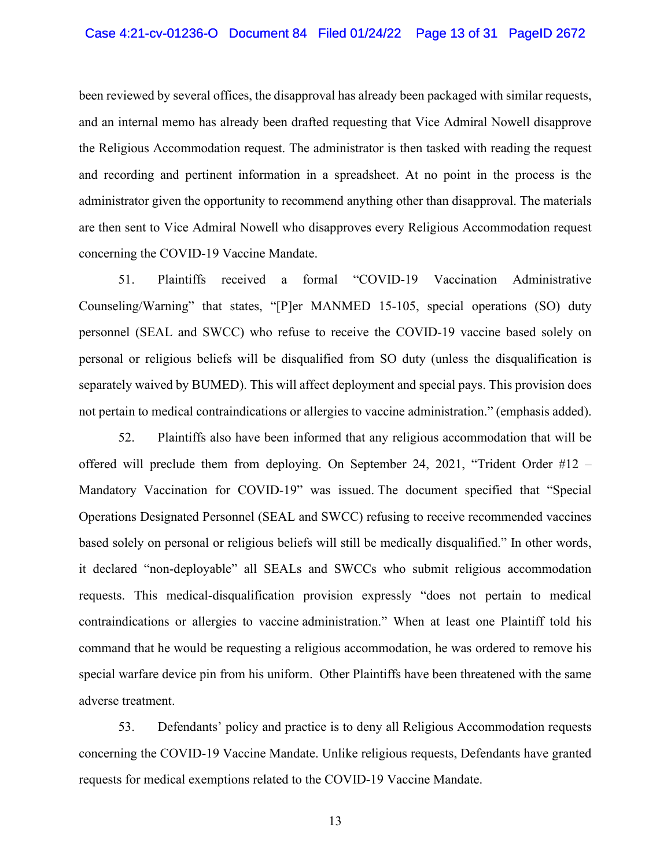been reviewed by several offices, the disapproval has already been packaged with similar requests, and an internal memo has already been drafted requesting that Vice Admiral Nowell disapprove the Religious Accommodation request. The administrator is then tasked with reading the request and recording and pertinent information in a spreadsheet. At no point in the process is the administrator given the opportunity to recommend anything other than disapproval. The materials are then sent to Vice Admiral Nowell who disapproves every Religious Accommodation request concerning the COVID-19 Vaccine Mandate.

51. Plaintiffs received a formal "COVID-19 Vaccination Administrative Counseling/Warning" that states, "[P]er MANMED 15-105, special operations (SO) duty personnel (SEAL and SWCC) who refuse to receive the COVID-19 vaccine based solely on personal or religious beliefs will be disqualified from SO duty (unless the disqualification is separately waived by BUMED). This will affect deployment and special pays. This provision does not pertain to medical contraindications or allergies to vaccine administration." (emphasis added).

52. Plaintiffs also have been informed that any religious accommodation that will be offered will preclude them from deploying. On September 24, 2021, "Trident Order #12 – Mandatory Vaccination for COVID-19" was issued. The document specified that "Special Operations Designated Personnel (SEAL and SWCC) refusing to receive recommended vaccines based solely on personal or religious beliefs will still be medically disqualified." In other words, it declared "non-deployable" all SEALs and SWCCs who submit religious accommodation requests. This medical-disqualification provision expressly "does not pertain to medical contraindications or allergies to vaccine administration." When at least one Plaintiff told his command that he would be requesting a religious accommodation, he was ordered to remove his special warfare device pin from his uniform. Other Plaintiffs have been threatened with the same adverse treatment.

53. Defendants' policy and practice is to deny all Religious Accommodation requests concerning the COVID-19 Vaccine Mandate. Unlike religious requests, Defendants have granted requests for medical exemptions related to the COVID-19 Vaccine Mandate.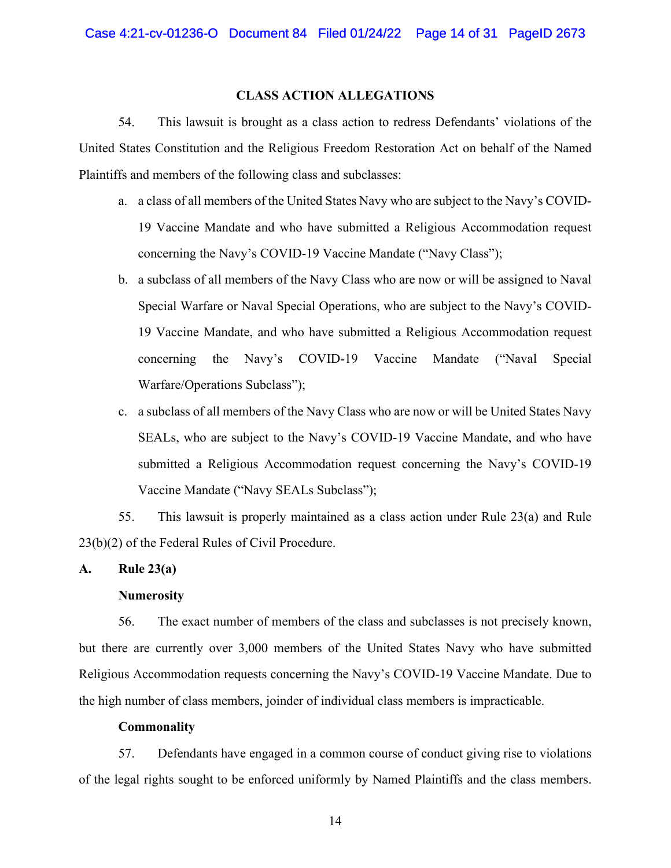### **CLASS ACTION ALLEGATIONS**

54. This lawsuit is brought as a class action to redress Defendants' violations of the United States Constitution and the Religious Freedom Restoration Act on behalf of the Named Plaintiffs and members of the following class and subclasses:

- a. a class of all members of the United States Navy who are subject to the Navy's COVID-19 Vaccine Mandate and who have submitted a Religious Accommodation request concerning the Navy's COVID-19 Vaccine Mandate ("Navy Class");
- b. a subclass of all members of the Navy Class who are now or will be assigned to Naval Special Warfare or Naval Special Operations, who are subject to the Navy's COVID-19 Vaccine Mandate, and who have submitted a Religious Accommodation request concerning the Navy's COVID-19 Vaccine Mandate ("Naval Special Warfare/Operations Subclass");
- c. a subclass of all members of the Navy Class who are now or will be United States Navy SEALs, who are subject to the Navy's COVID-19 Vaccine Mandate, and who have submitted a Religious Accommodation request concerning the Navy's COVID-19 Vaccine Mandate ("Navy SEALs Subclass");

55. This lawsuit is properly maintained as a class action under Rule 23(a) and Rule 23(b)(2) of the Federal Rules of Civil Procedure.

## **A. Rule 23(a)**

### **Numerosity**

56. The exact number of members of the class and subclasses is not precisely known, but there are currently over 3,000 members of the United States Navy who have submitted Religious Accommodation requests concerning the Navy's COVID-19 Vaccine Mandate. Due to the high number of class members, joinder of individual class members is impracticable.

### **Commonality**

57. Defendants have engaged in a common course of conduct giving rise to violations of the legal rights sought to be enforced uniformly by Named Plaintiffs and the class members.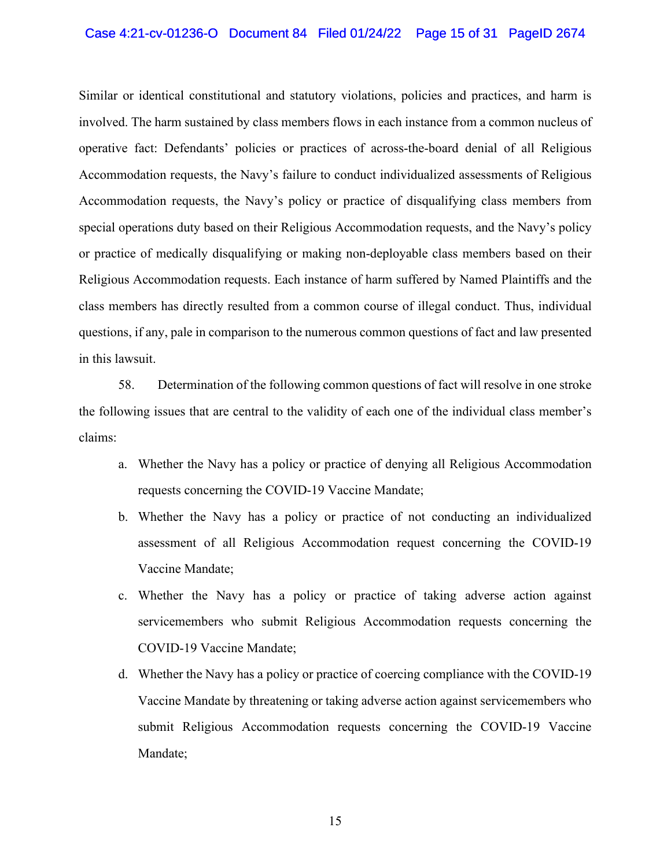### Case 4:21-cv-01236-O Document 84 Filed 01/24/22 Page 15 of 31 PageID 2674

Similar or identical constitutional and statutory violations, policies and practices, and harm is involved. The harm sustained by class members flows in each instance from a common nucleus of operative fact: Defendants' policies or practices of across-the-board denial of all Religious Accommodation requests, the Navy's failure to conduct individualized assessments of Religious Accommodation requests, the Navy's policy or practice of disqualifying class members from special operations duty based on their Religious Accommodation requests, and the Navy's policy or practice of medically disqualifying or making non-deployable class members based on their Religious Accommodation requests. Each instance of harm suffered by Named Plaintiffs and the class members has directly resulted from a common course of illegal conduct. Thus, individual questions, if any, pale in comparison to the numerous common questions of fact and law presented in this lawsuit.

58. Determination of the following common questions of fact will resolve in one stroke the following issues that are central to the validity of each one of the individual class member's claims:

- a. Whether the Navy has a policy or practice of denying all Religious Accommodation requests concerning the COVID-19 Vaccine Mandate;
- b. Whether the Navy has a policy or practice of not conducting an individualized assessment of all Religious Accommodation request concerning the COVID-19 Vaccine Mandate;
- c. Whether the Navy has a policy or practice of taking adverse action against servicemembers who submit Religious Accommodation requests concerning the COVID-19 Vaccine Mandate;
- d. Whether the Navy has a policy or practice of coercing compliance with the COVID-19 Vaccine Mandate by threatening or taking adverse action against servicemembers who submit Religious Accommodation requests concerning the COVID-19 Vaccine Mandate;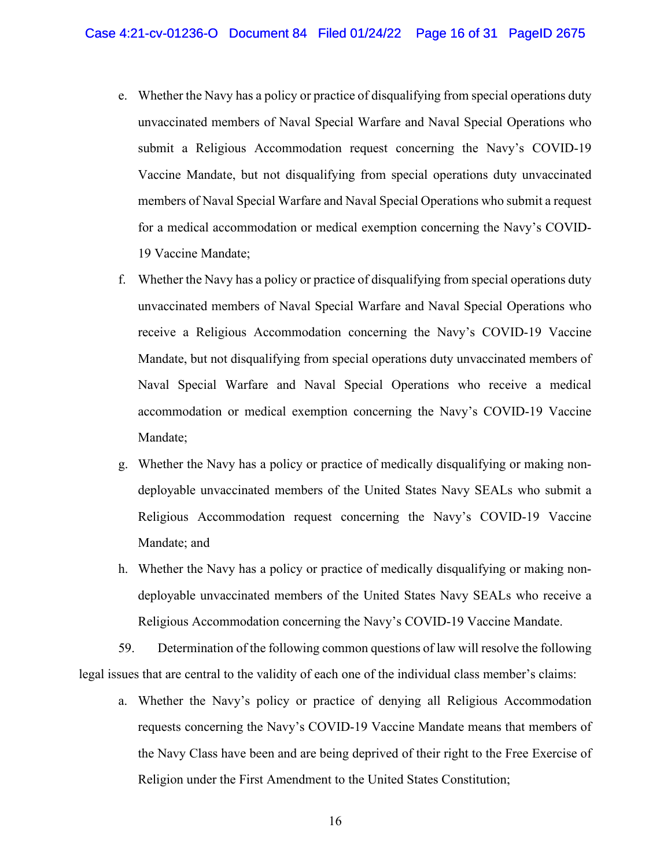- e. Whether the Navy has a policy or practice of disqualifying from special operations duty unvaccinated members of Naval Special Warfare and Naval Special Operations who submit a Religious Accommodation request concerning the Navy's COVID-19 Vaccine Mandate, but not disqualifying from special operations duty unvaccinated members of Naval Special Warfare and Naval Special Operations who submit a request for a medical accommodation or medical exemption concerning the Navy's COVID-19 Vaccine Mandate;
- f. Whether the Navy has a policy or practice of disqualifying from special operations duty unvaccinated members of Naval Special Warfare and Naval Special Operations who receive a Religious Accommodation concerning the Navy's COVID-19 Vaccine Mandate, but not disqualifying from special operations duty unvaccinated members of Naval Special Warfare and Naval Special Operations who receive a medical accommodation or medical exemption concerning the Navy's COVID-19 Vaccine Mandate;
- g. Whether the Navy has a policy or practice of medically disqualifying or making nondeployable unvaccinated members of the United States Navy SEALs who submit a Religious Accommodation request concerning the Navy's COVID-19 Vaccine Mandate; and
- h. Whether the Navy has a policy or practice of medically disqualifying or making nondeployable unvaccinated members of the United States Navy SEALs who receive a Religious Accommodation concerning the Navy's COVID-19 Vaccine Mandate.

59. Determination of the following common questions of law will resolve the following legal issues that are central to the validity of each one of the individual class member's claims:

a. Whether the Navy's policy or practice of denying all Religious Accommodation requests concerning the Navy's COVID-19 Vaccine Mandate means that members of the Navy Class have been and are being deprived of their right to the Free Exercise of Religion under the First Amendment to the United States Constitution;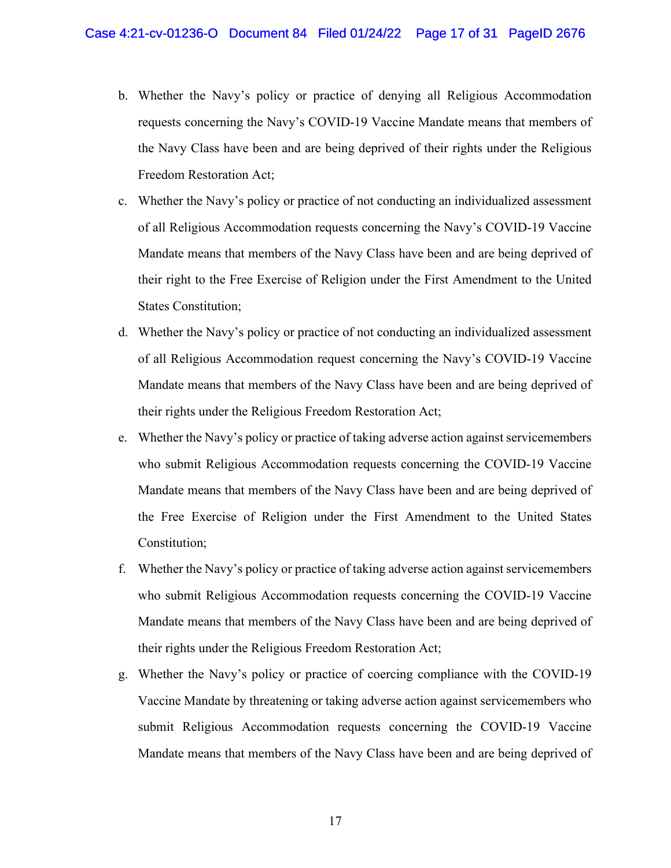- b. Whether the Navy's policy or practice of denying all Religious Accommodation requests concerning the Navy's COVID-19 Vaccine Mandate means that members of the Navy Class have been and are being deprived of their rights under the Religious Freedom Restoration Act;
- c. Whether the Navy's policy or practice of not conducting an individualized assessment of all Religious Accommodation requests concerning the Navy's COVID-19 Vaccine Mandate means that members of the Navy Class have been and are being deprived of their right to the Free Exercise of Religion under the First Amendment to the United States Constitution;
- d. Whether the Navy's policy or practice of not conducting an individualized assessment of all Religious Accommodation request concerning the Navy's COVID-19 Vaccine Mandate means that members of the Navy Class have been and are being deprived of their rights under the Religious Freedom Restoration Act;
- e. Whether the Navy's policy or practice of taking adverse action against servicemembers who submit Religious Accommodation requests concerning the COVID-19 Vaccine Mandate means that members of the Navy Class have been and are being deprived of the Free Exercise of Religion under the First Amendment to the United States Constitution;
- f. Whether the Navy's policy or practice of taking adverse action against servicemembers who submit Religious Accommodation requests concerning the COVID-19 Vaccine Mandate means that members of the Navy Class have been and are being deprived of their rights under the Religious Freedom Restoration Act;
- g. Whether the Navy's policy or practice of coercing compliance with the COVID-19 Vaccine Mandate by threatening or taking adverse action against servicemembers who submit Religious Accommodation requests concerning the COVID-19 Vaccine Mandate means that members of the Navy Class have been and are being deprived of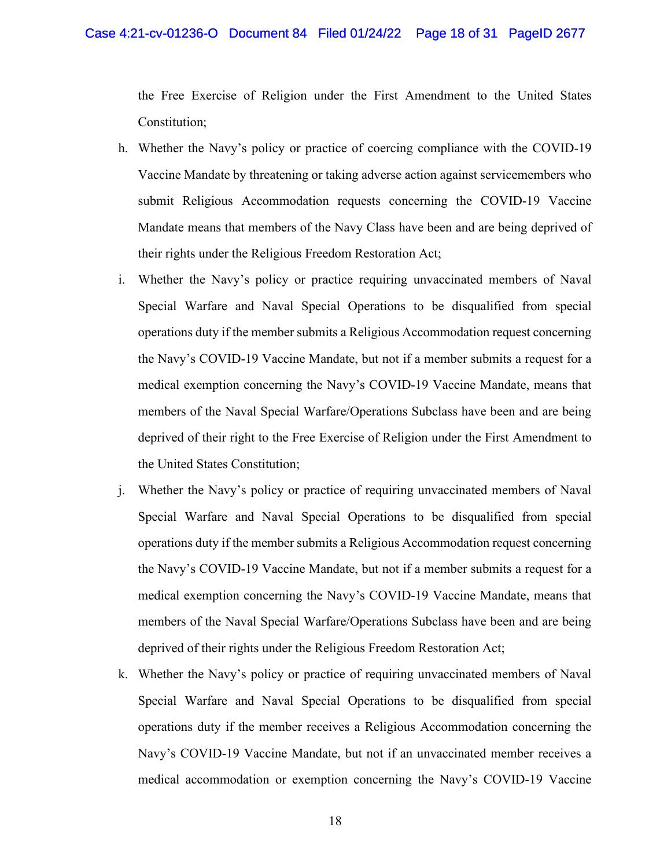the Free Exercise of Religion under the First Amendment to the United States Constitution;

- h. Whether the Navy's policy or practice of coercing compliance with the COVID-19 Vaccine Mandate by threatening or taking adverse action against servicemembers who submit Religious Accommodation requests concerning the COVID-19 Vaccine Mandate means that members of the Navy Class have been and are being deprived of their rights under the Religious Freedom Restoration Act;
- i. Whether the Navy's policy or practice requiring unvaccinated members of Naval Special Warfare and Naval Special Operations to be disqualified from special operations duty if the member submits a Religious Accommodation request concerning the Navy's COVID-19 Vaccine Mandate, but not if a member submits a request for a medical exemption concerning the Navy's COVID-19 Vaccine Mandate, means that members of the Naval Special Warfare/Operations Subclass have been and are being deprived of their right to the Free Exercise of Religion under the First Amendment to the United States Constitution;
- j. Whether the Navy's policy or practice of requiring unvaccinated members of Naval Special Warfare and Naval Special Operations to be disqualified from special operations duty if the member submits a Religious Accommodation request concerning the Navy's COVID-19 Vaccine Mandate, but not if a member submits a request for a medical exemption concerning the Navy's COVID-19 Vaccine Mandate, means that members of the Naval Special Warfare/Operations Subclass have been and are being deprived of their rights under the Religious Freedom Restoration Act;
- k. Whether the Navy's policy or practice of requiring unvaccinated members of Naval Special Warfare and Naval Special Operations to be disqualified from special operations duty if the member receives a Religious Accommodation concerning the Navy's COVID-19 Vaccine Mandate, but not if an unvaccinated member receives a medical accommodation or exemption concerning the Navy's COVID-19 Vaccine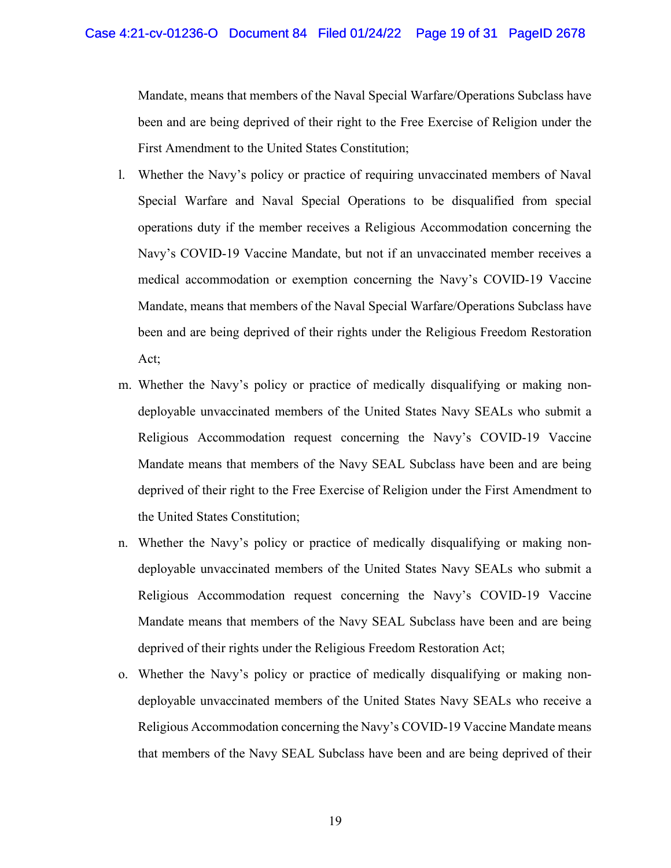Mandate, means that members of the Naval Special Warfare/Operations Subclass have been and are being deprived of their right to the Free Exercise of Religion under the First Amendment to the United States Constitution;

- l. Whether the Navy's policy or practice of requiring unvaccinated members of Naval Special Warfare and Naval Special Operations to be disqualified from special operations duty if the member receives a Religious Accommodation concerning the Navy's COVID-19 Vaccine Mandate, but not if an unvaccinated member receives a medical accommodation or exemption concerning the Navy's COVID-19 Vaccine Mandate, means that members of the Naval Special Warfare/Operations Subclass have been and are being deprived of their rights under the Religious Freedom Restoration Act;
- m. Whether the Navy's policy or practice of medically disqualifying or making nondeployable unvaccinated members of the United States Navy SEALs who submit a Religious Accommodation request concerning the Navy's COVID-19 Vaccine Mandate means that members of the Navy SEAL Subclass have been and are being deprived of their right to the Free Exercise of Religion under the First Amendment to the United States Constitution;
- n. Whether the Navy's policy or practice of medically disqualifying or making nondeployable unvaccinated members of the United States Navy SEALs who submit a Religious Accommodation request concerning the Navy's COVID-19 Vaccine Mandate means that members of the Navy SEAL Subclass have been and are being deprived of their rights under the Religious Freedom Restoration Act;
- o. Whether the Navy's policy or practice of medically disqualifying or making nondeployable unvaccinated members of the United States Navy SEALs who receive a Religious Accommodation concerning the Navy's COVID-19 Vaccine Mandate means that members of the Navy SEAL Subclass have been and are being deprived of their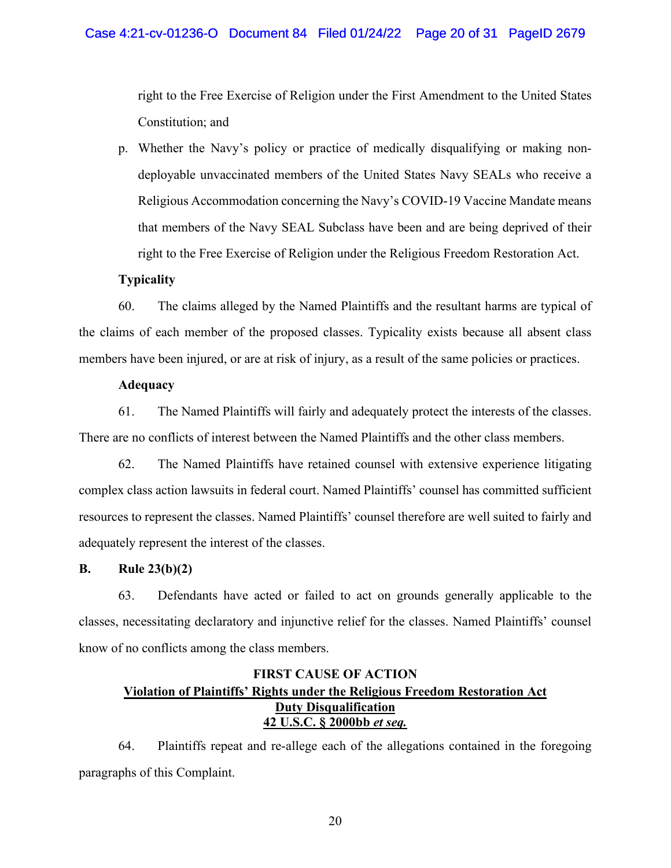right to the Free Exercise of Religion under the First Amendment to the United States Constitution; and

p. Whether the Navy's policy or practice of medically disqualifying or making nondeployable unvaccinated members of the United States Navy SEALs who receive a Religious Accommodation concerning the Navy's COVID-19 Vaccine Mandate means that members of the Navy SEAL Subclass have been and are being deprived of their right to the Free Exercise of Religion under the Religious Freedom Restoration Act.

# **Typicality**

60. The claims alleged by the Named Plaintiffs and the resultant harms are typical of the claims of each member of the proposed classes. Typicality exists because all absent class members have been injured, or are at risk of injury, as a result of the same policies or practices.

# **Adequacy**

61. The Named Plaintiffs will fairly and adequately protect the interests of the classes. There are no conflicts of interest between the Named Plaintiffs and the other class members.

62. The Named Plaintiffs have retained counsel with extensive experience litigating complex class action lawsuits in federal court. Named Plaintiffs' counsel has committed sufficient resources to represent the classes. Named Plaintiffs' counsel therefore are well suited to fairly and adequately represent the interest of the classes.

# **B. Rule 23(b)(2)**

63. Defendants have acted or failed to act on grounds generally applicable to the classes, necessitating declaratory and injunctive relief for the classes. Named Plaintiffs' counsel know of no conflicts among the class members.

# **FIRST CAUSE OF ACTION Violation of Plaintiffs' Rights under the Religious Freedom Restoration Act Duty Disqualification 42 U.S.C. § 2000bb** *et seq.*

64. Plaintiffs repeat and re-allege each of the allegations contained in the foregoing paragraphs of this Complaint.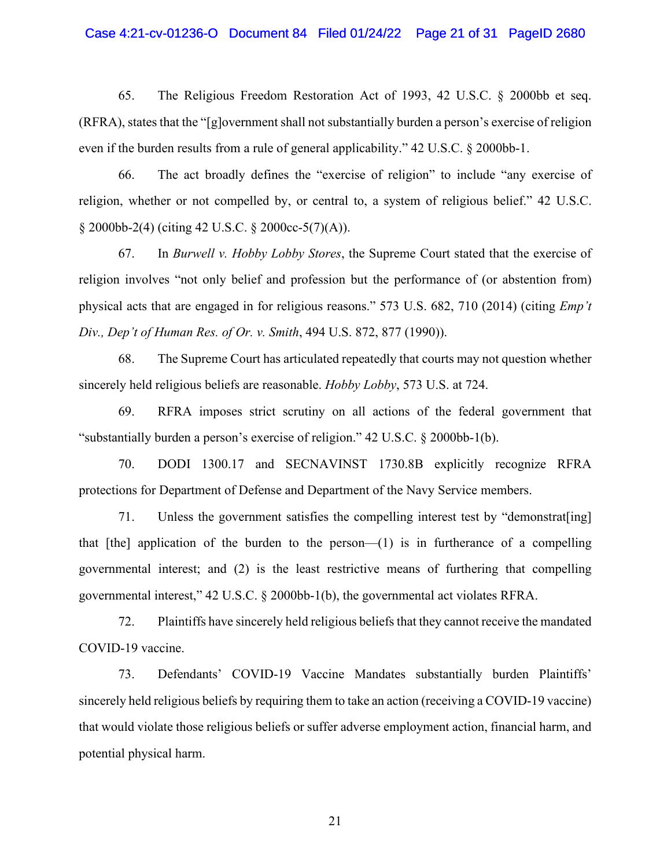# Case 4:21-cv-01236-O Document 84 Filed 01/24/22 Page 21 of 31 PageID 2680

65. The Religious Freedom Restoration Act of 1993, 42 U.S.C. § 2000bb et seq. (RFRA), states that the "[g]overnment shall not substantially burden a person's exercise of religion even if the burden results from a rule of general applicability." 42 U.S.C. § 2000bb-1.

66. The act broadly defines the "exercise of religion" to include "any exercise of religion, whether or not compelled by, or central to, a system of religious belief." 42 U.S.C. § 2000bb-2(4) (citing 42 U.S.C. § 2000cc-5(7)(A)).

67. In *Burwell v. Hobby Lobby Stores*, the Supreme Court stated that the exercise of religion involves "not only belief and profession but the performance of (or abstention from) physical acts that are engaged in for religious reasons." 573 U.S. 682, 710 (2014) (citing *Emp't Div., Dep't of Human Res. of Or. v. Smith*, 494 U.S. 872, 877 (1990)).

68. The Supreme Court has articulated repeatedly that courts may not question whether sincerely held religious beliefs are reasonable. *Hobby Lobby*, 573 U.S. at 724.

69. RFRA imposes strict scrutiny on all actions of the federal government that "substantially burden a person's exercise of religion." 42 U.S.C. § 2000bb-1(b).

70. DODI 1300.17 and SECNAVINST 1730.8B explicitly recognize RFRA protections for Department of Defense and Department of the Navy Service members.

71. Unless the government satisfies the compelling interest test by "demonstrat[ing] that  $[the]$  application of the burden to the person— $(1)$  is in furtherance of a compelling governmental interest; and (2) is the least restrictive means of furthering that compelling governmental interest," 42 U.S.C. § 2000bb-1(b), the governmental act violates RFRA.

72. Plaintiffs have sincerely held religious beliefs that they cannot receive the mandated COVID-19 vaccine.

73. Defendants' COVID-19 Vaccine Mandates substantially burden Plaintiffs' sincerely held religious beliefs by requiring them to take an action (receiving a COVID-19 vaccine) that would violate those religious beliefs or suffer adverse employment action, financial harm, and potential physical harm.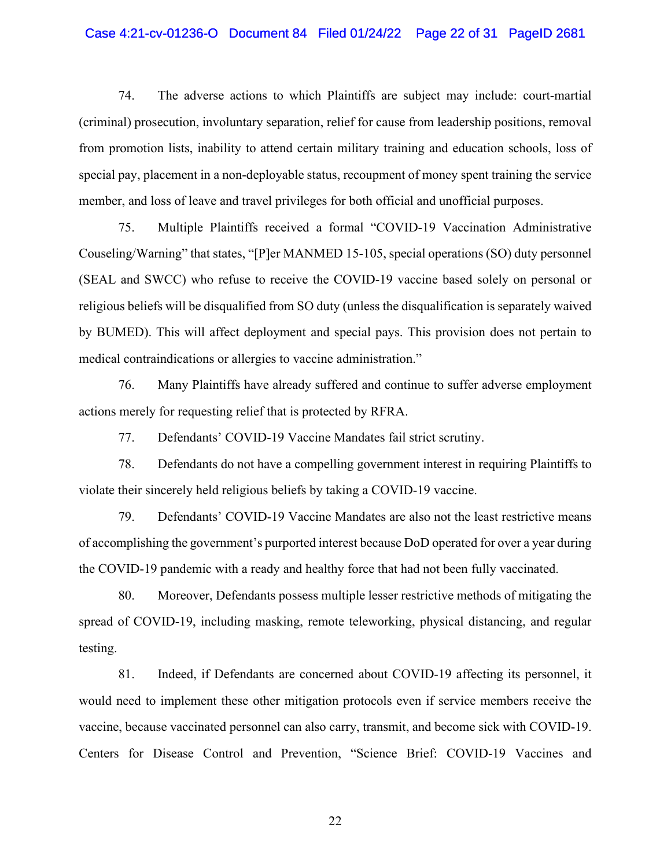# Case 4:21-cv-01236-O Document 84 Filed 01/24/22 Page 22 of 31 PageID 2681

74. The adverse actions to which Plaintiffs are subject may include: court-martial (criminal) prosecution, involuntary separation, relief for cause from leadership positions, removal from promotion lists, inability to attend certain military training and education schools, loss of special pay, placement in a non-deployable status, recoupment of money spent training the service member, and loss of leave and travel privileges for both official and unofficial purposes.

75. Multiple Plaintiffs received a formal "COVID-19 Vaccination Administrative Couseling/Warning" that states, "[P]er MANMED 15-105, special operations (SO) duty personnel (SEAL and SWCC) who refuse to receive the COVID-19 vaccine based solely on personal or religious beliefs will be disqualified from SO duty (unless the disqualification is separately waived by BUMED). This will affect deployment and special pays. This provision does not pertain to medical contraindications or allergies to vaccine administration."

76. Many Plaintiffs have already suffered and continue to suffer adverse employment actions merely for requesting relief that is protected by RFRA.

77. Defendants' COVID-19 Vaccine Mandates fail strict scrutiny.

78. Defendants do not have a compelling government interest in requiring Plaintiffs to violate their sincerely held religious beliefs by taking a COVID-19 vaccine.

79. Defendants' COVID-19 Vaccine Mandates are also not the least restrictive means of accomplishing the government's purported interest because DoD operated for over a year during the COVID-19 pandemic with a ready and healthy force that had not been fully vaccinated.

80. Moreover, Defendants possess multiple lesser restrictive methods of mitigating the spread of COVID-19, including masking, remote teleworking, physical distancing, and regular testing.

81. Indeed, if Defendants are concerned about COVID-19 affecting its personnel, it would need to implement these other mitigation protocols even if service members receive the vaccine, because vaccinated personnel can also carry, transmit, and become sick with COVID-19. Centers for Disease Control and Prevention, "Science Brief: COVID-19 Vaccines and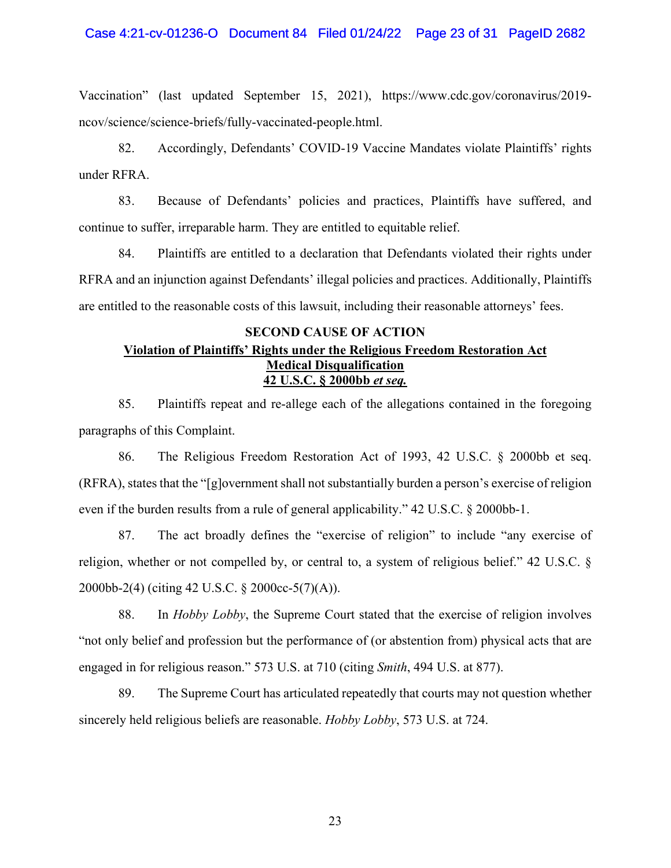### Case 4:21-cv-01236-O Document 84 Filed 01/24/22 Page 23 of 31 PageID 2682

Vaccination" (last updated September 15, 2021), https://www.cdc.gov/coronavirus/2019 ncov/science/science-briefs/fully-vaccinated-people.html.

82. Accordingly, Defendants' COVID-19 Vaccine Mandates violate Plaintiffs' rights under RFRA.

83. Because of Defendants' policies and practices, Plaintiffs have suffered, and continue to suffer, irreparable harm. They are entitled to equitable relief.

84. Plaintiffs are entitled to a declaration that Defendants violated their rights under RFRA and an injunction against Defendants' illegal policies and practices. Additionally, Plaintiffs are entitled to the reasonable costs of this lawsuit, including their reasonable attorneys' fees.

# **SECOND CAUSE OF ACTION Violation of Plaintiffs' Rights under the Religious Freedom Restoration Act Medical Disqualification 42 U.S.C. § 2000bb** *et seq.*

85. Plaintiffs repeat and re-allege each of the allegations contained in the foregoing paragraphs of this Complaint.

86. The Religious Freedom Restoration Act of 1993, 42 U.S.C. § 2000bb et seq. (RFRA), states that the "[g]overnment shall not substantially burden a person's exercise of religion even if the burden results from a rule of general applicability." 42 U.S.C. § 2000bb-1.

87. The act broadly defines the "exercise of religion" to include "any exercise of religion, whether or not compelled by, or central to, a system of religious belief." 42 U.S.C. § 2000bb-2(4) (citing 42 U.S.C. § 2000cc-5(7)(A)).

88. In *Hobby Lobby*, the Supreme Court stated that the exercise of religion involves "not only belief and profession but the performance of (or abstention from) physical acts that are engaged in for religious reason." 573 U.S. at 710 (citing *Smith*, 494 U.S. at 877).

89. The Supreme Court has articulated repeatedly that courts may not question whether sincerely held religious beliefs are reasonable. *Hobby Lobby*, 573 U.S. at 724.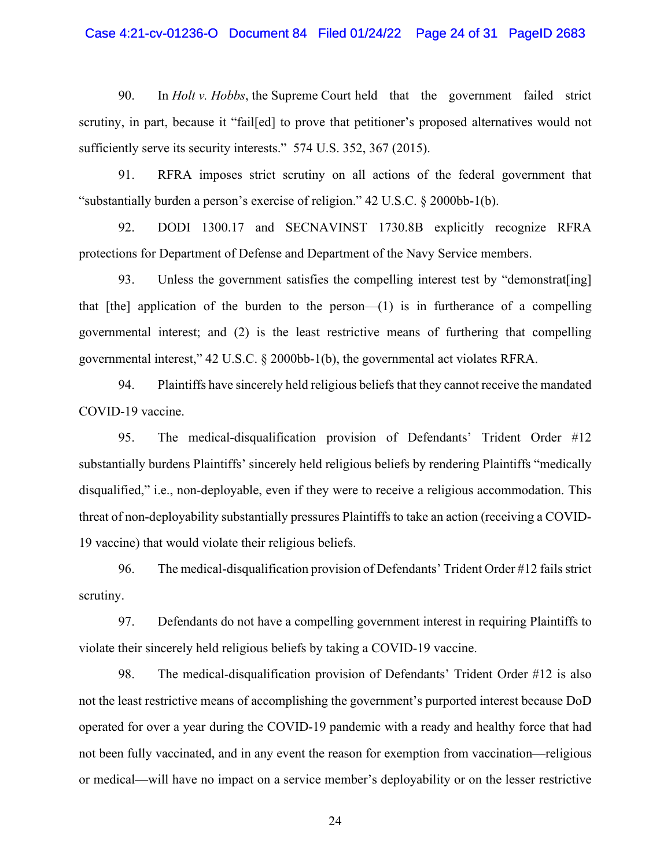# Case 4:21-cv-01236-O Document 84 Filed 01/24/22 Page 24 of 31 PageID 2683

90. In *Holt v. Hobbs*, the Supreme Court held that the government failed strict scrutiny, in part, because it "fail[ed] to prove that petitioner's proposed alternatives would not sufficiently serve its security interests." 574 U.S. 352, 367 (2015).

91. RFRA imposes strict scrutiny on all actions of the federal government that "substantially burden a person's exercise of religion." 42 U.S.C. § 2000bb-1(b).

92. DODI 1300.17 and SECNAVINST 1730.8B explicitly recognize RFRA protections for Department of Defense and Department of the Navy Service members.

93. Unless the government satisfies the compelling interest test by "demonstrat[ing] that  $[the]$  application of the burden to the person— $(1)$  is in furtherance of a compelling governmental interest; and (2) is the least restrictive means of furthering that compelling governmental interest," 42 U.S.C. § 2000bb-1(b), the governmental act violates RFRA.

94. Plaintiffs have sincerely held religious beliefs that they cannot receive the mandated COVID-19 vaccine.

95. The medical-disqualification provision of Defendants' Trident Order #12 substantially burdens Plaintiffs' sincerely held religious beliefs by rendering Plaintiffs "medically disqualified," i.e., non-deployable, even if they were to receive a religious accommodation. This threat of non-deployability substantially pressures Plaintiffs to take an action (receiving a COVID-19 vaccine) that would violate their religious beliefs.

96. The medical-disqualification provision of Defendants' Trident Order #12 fails strict scrutiny.

97. Defendants do not have a compelling government interest in requiring Plaintiffs to violate their sincerely held religious beliefs by taking a COVID-19 vaccine.

98. The medical-disqualification provision of Defendants' Trident Order #12 is also not the least restrictive means of accomplishing the government's purported interest because DoD operated for over a year during the COVID-19 pandemic with a ready and healthy force that had not been fully vaccinated, and in any event the reason for exemption from vaccination—religious or medical—will have no impact on a service member's deployability or on the lesser restrictive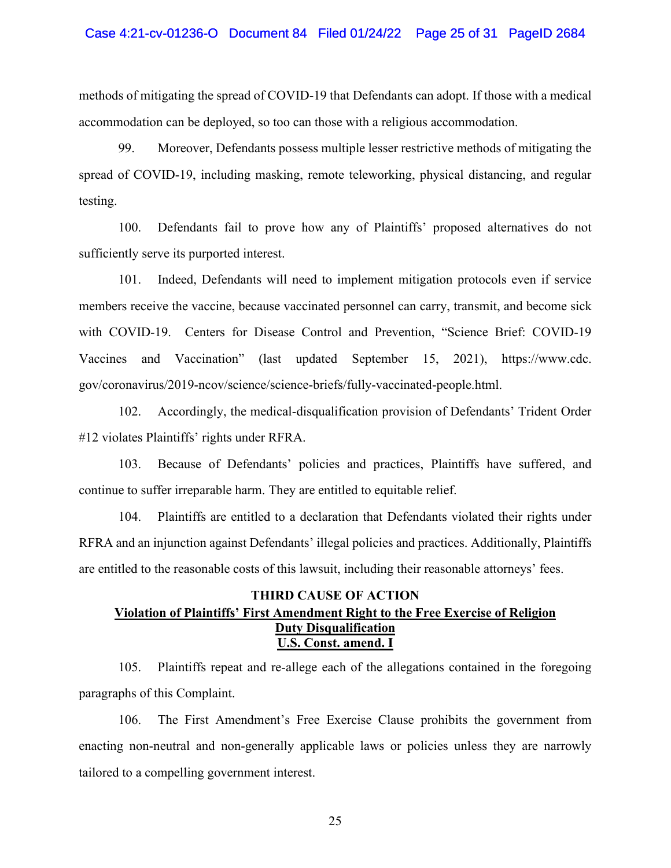### Case 4:21-cv-01236-O Document 84 Filed 01/24/22 Page 25 of 31 PageID 2684

methods of mitigating the spread of COVID-19 that Defendants can adopt. If those with a medical accommodation can be deployed, so too can those with a religious accommodation.

99. Moreover, Defendants possess multiple lesser restrictive methods of mitigating the spread of COVID-19, including masking, remote teleworking, physical distancing, and regular testing.

100. Defendants fail to prove how any of Plaintiffs' proposed alternatives do not sufficiently serve its purported interest.

101. Indeed, Defendants will need to implement mitigation protocols even if service members receive the vaccine, because vaccinated personnel can carry, transmit, and become sick with COVID-19. Centers for Disease Control and Prevention, "Science Brief: COVID-19 Vaccines and Vaccination" (last updated September 15, 2021), https://www.cdc. gov/coronavirus/2019-ncov/science/science-briefs/fully-vaccinated-people.html.

102. Accordingly, the medical-disqualification provision of Defendants' Trident Order #12 violates Plaintiffs' rights under RFRA.

103. Because of Defendants' policies and practices, Plaintiffs have suffered, and continue to suffer irreparable harm. They are entitled to equitable relief.

104. Plaintiffs are entitled to a declaration that Defendants violated their rights under RFRA and an injunction against Defendants' illegal policies and practices. Additionally, Plaintiffs are entitled to the reasonable costs of this lawsuit, including their reasonable attorneys' fees.

# **THIRD CAUSE OF ACTION Violation of Plaintiffs' First Amendment Right to the Free Exercise of Religion Duty Disqualification U.S. Const. amend. I**

105. Plaintiffs repeat and re-allege each of the allegations contained in the foregoing paragraphs of this Complaint.

106. The First Amendment's Free Exercise Clause prohibits the government from enacting non-neutral and non-generally applicable laws or policies unless they are narrowly tailored to a compelling government interest.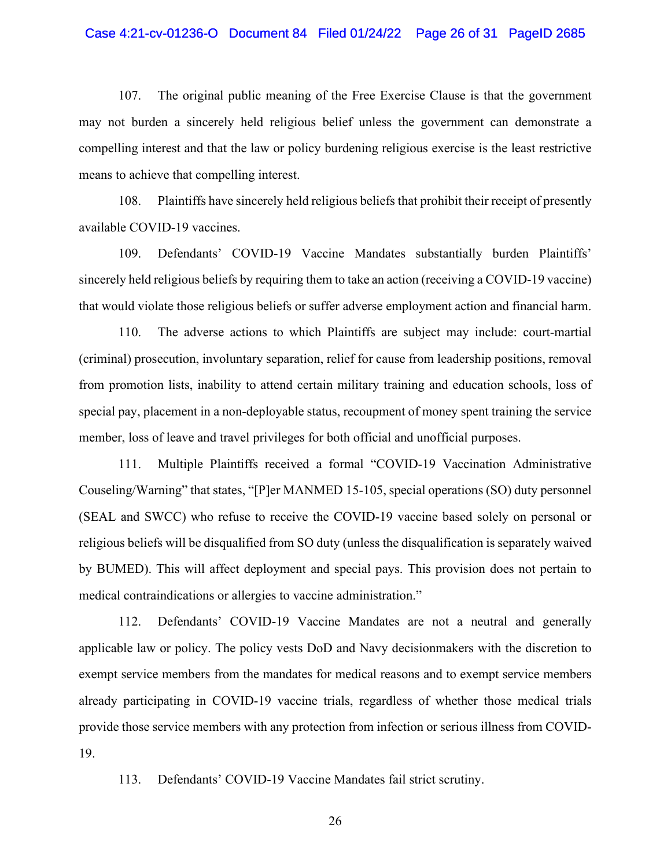### Case 4:21-cv-01236-O Document 84 Filed 01/24/22 Page 26 of 31 PageID 2685

107. The original public meaning of the Free Exercise Clause is that the government may not burden a sincerely held religious belief unless the government can demonstrate a compelling interest and that the law or policy burdening religious exercise is the least restrictive means to achieve that compelling interest.

108. Plaintiffs have sincerely held religious beliefs that prohibit their receipt of presently available COVID-19 vaccines.

109. Defendants' COVID-19 Vaccine Mandates substantially burden Plaintiffs' sincerely held religious beliefs by requiring them to take an action (receiving a COVID-19 vaccine) that would violate those religious beliefs or suffer adverse employment action and financial harm.

110. The adverse actions to which Plaintiffs are subject may include: court-martial (criminal) prosecution, involuntary separation, relief for cause from leadership positions, removal from promotion lists, inability to attend certain military training and education schools, loss of special pay, placement in a non-deployable status, recoupment of money spent training the service member, loss of leave and travel privileges for both official and unofficial purposes.

111. Multiple Plaintiffs received a formal "COVID-19 Vaccination Administrative Couseling/Warning" that states, "[P]er MANMED 15-105, special operations (SO) duty personnel (SEAL and SWCC) who refuse to receive the COVID-19 vaccine based solely on personal or religious beliefs will be disqualified from SO duty (unless the disqualification is separately waived by BUMED). This will affect deployment and special pays. This provision does not pertain to medical contraindications or allergies to vaccine administration."

112. Defendants' COVID-19 Vaccine Mandates are not a neutral and generally applicable law or policy. The policy vests DoD and Navy decisionmakers with the discretion to exempt service members from the mandates for medical reasons and to exempt service members already participating in COVID-19 vaccine trials, regardless of whether those medical trials provide those service members with any protection from infection or serious illness from COVID-19.

113. Defendants' COVID-19 Vaccine Mandates fail strict scrutiny.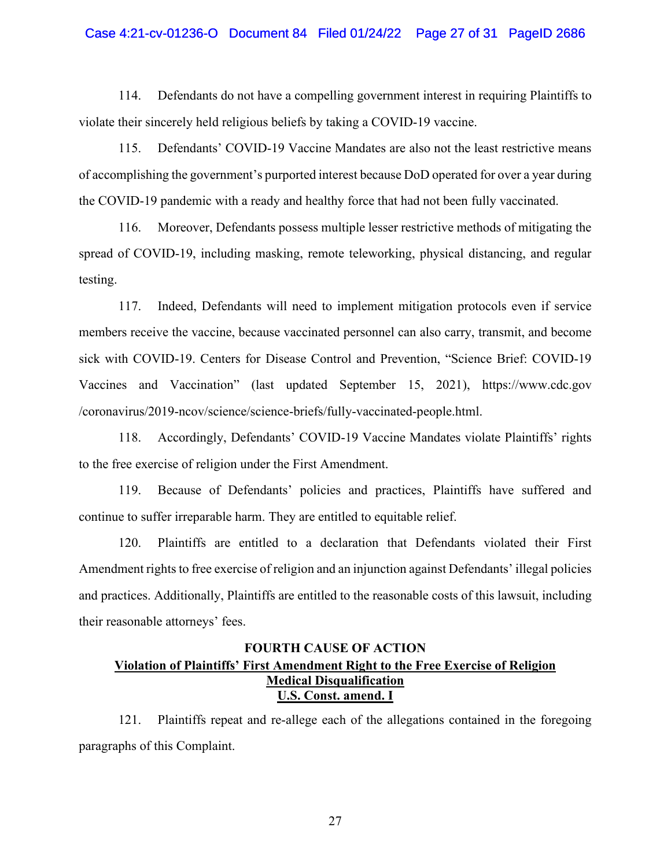# Case 4:21-cv-01236-O Document 84 Filed 01/24/22 Page 27 of 31 PageID 2686

114. Defendants do not have a compelling government interest in requiring Plaintiffs to violate their sincerely held religious beliefs by taking a COVID-19 vaccine.

115. Defendants' COVID-19 Vaccine Mandates are also not the least restrictive means of accomplishing the government's purported interest because DoD operated for over a year during the COVID-19 pandemic with a ready and healthy force that had not been fully vaccinated.

116. Moreover, Defendants possess multiple lesser restrictive methods of mitigating the spread of COVID-19, including masking, remote teleworking, physical distancing, and regular testing.

117. Indeed, Defendants will need to implement mitigation protocols even if service members receive the vaccine, because vaccinated personnel can also carry, transmit, and become sick with COVID-19. Centers for Disease Control and Prevention, "Science Brief: COVID-19 Vaccines and Vaccination" (last updated September 15, 2021), https://www.cdc.gov /coronavirus/2019-ncov/science/science-briefs/fully-vaccinated-people.html.

118. Accordingly, Defendants' COVID-19 Vaccine Mandates violate Plaintiffs' rights to the free exercise of religion under the First Amendment.

119. Because of Defendants' policies and practices, Plaintiffs have suffered and continue to suffer irreparable harm. They are entitled to equitable relief.

120. Plaintiffs are entitled to a declaration that Defendants violated their First Amendment rights to free exercise of religion and an injunction against Defendants' illegal policies and practices. Additionally, Plaintiffs are entitled to the reasonable costs of this lawsuit, including their reasonable attorneys' fees.

# **FOURTH CAUSE OF ACTION Violation of Plaintiffs' First Amendment Right to the Free Exercise of Religion Medical Disqualification U.S. Const. amend. I**

121. Plaintiffs repeat and re-allege each of the allegations contained in the foregoing paragraphs of this Complaint.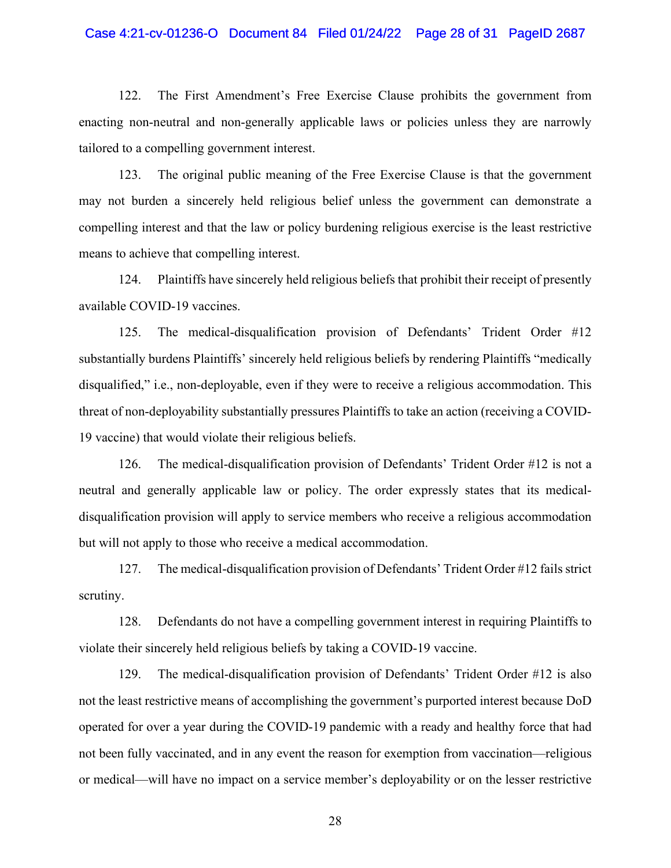# Case 4:21-cv-01236-O Document 84 Filed 01/24/22 Page 28 of 31 PageID 2687

122. The First Amendment's Free Exercise Clause prohibits the government from enacting non-neutral and non-generally applicable laws or policies unless they are narrowly tailored to a compelling government interest.

123. The original public meaning of the Free Exercise Clause is that the government may not burden a sincerely held religious belief unless the government can demonstrate a compelling interest and that the law or policy burdening religious exercise is the least restrictive means to achieve that compelling interest.

124. Plaintiffs have sincerely held religious beliefs that prohibit their receipt of presently available COVID-19 vaccines.

125. The medical-disqualification provision of Defendants' Trident Order #12 substantially burdens Plaintiffs' sincerely held religious beliefs by rendering Plaintiffs "medically disqualified," i.e., non-deployable, even if they were to receive a religious accommodation. This threat of non-deployability substantially pressures Plaintiffs to take an action (receiving a COVID-19 vaccine) that would violate their religious beliefs.

126. The medical-disqualification provision of Defendants' Trident Order #12 is not a neutral and generally applicable law or policy. The order expressly states that its medicaldisqualification provision will apply to service members who receive a religious accommodation but will not apply to those who receive a medical accommodation.

127. The medical-disqualification provision of Defendants' Trident Order #12 fails strict scrutiny.

128. Defendants do not have a compelling government interest in requiring Plaintiffs to violate their sincerely held religious beliefs by taking a COVID-19 vaccine.

129. The medical-disqualification provision of Defendants' Trident Order #12 is also not the least restrictive means of accomplishing the government's purported interest because DoD operated for over a year during the COVID-19 pandemic with a ready and healthy force that had not been fully vaccinated, and in any event the reason for exemption from vaccination—religious or medical—will have no impact on a service member's deployability or on the lesser restrictive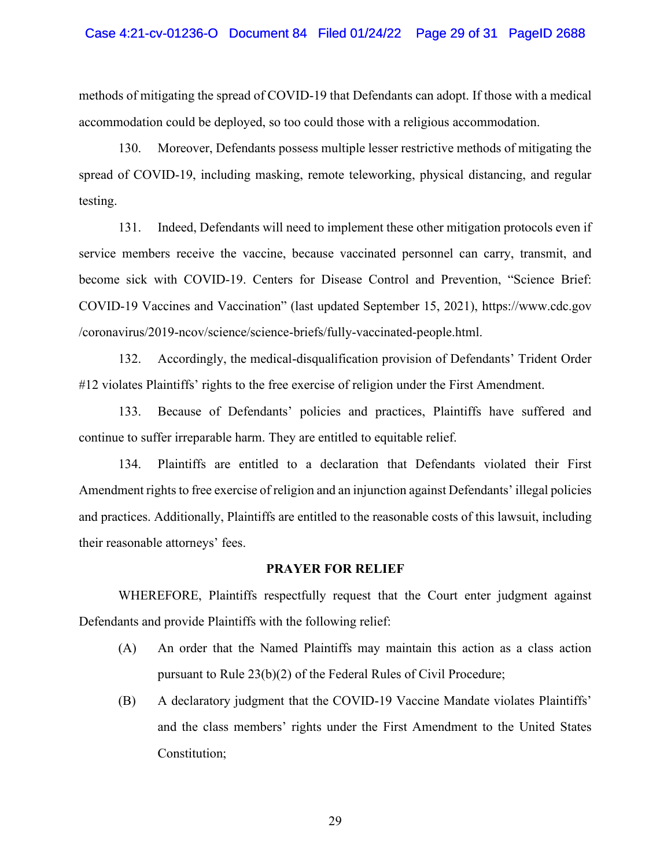methods of mitigating the spread of COVID-19 that Defendants can adopt. If those with a medical accommodation could be deployed, so too could those with a religious accommodation.

130. Moreover, Defendants possess multiple lesser restrictive methods of mitigating the spread of COVID-19, including masking, remote teleworking, physical distancing, and regular testing.

131. Indeed, Defendants will need to implement these other mitigation protocols even if service members receive the vaccine, because vaccinated personnel can carry, transmit, and become sick with COVID-19. Centers for Disease Control and Prevention, "Science Brief: COVID-19 Vaccines and Vaccination" (last updated September 15, 2021), https://www.cdc.gov /coronavirus/2019-ncov/science/science-briefs/fully-vaccinated-people.html.

132. Accordingly, the medical-disqualification provision of Defendants' Trident Order #12 violates Plaintiffs' rights to the free exercise of religion under the First Amendment.

133. Because of Defendants' policies and practices, Plaintiffs have suffered and continue to suffer irreparable harm. They are entitled to equitable relief.

134. Plaintiffs are entitled to a declaration that Defendants violated their First Amendment rights to free exercise of religion and an injunction against Defendants' illegal policies and practices. Additionally, Plaintiffs are entitled to the reasonable costs of this lawsuit, including their reasonable attorneys' fees.

### **PRAYER FOR RELIEF**

WHEREFORE, Plaintiffs respectfully request that the Court enter judgment against Defendants and provide Plaintiffs with the following relief:

- (A) An order that the Named Plaintiffs may maintain this action as a class action pursuant to Rule 23(b)(2) of the Federal Rules of Civil Procedure;
- (B) A declaratory judgment that the COVID-19 Vaccine Mandate violates Plaintiffs' and the class members' rights under the First Amendment to the United States Constitution;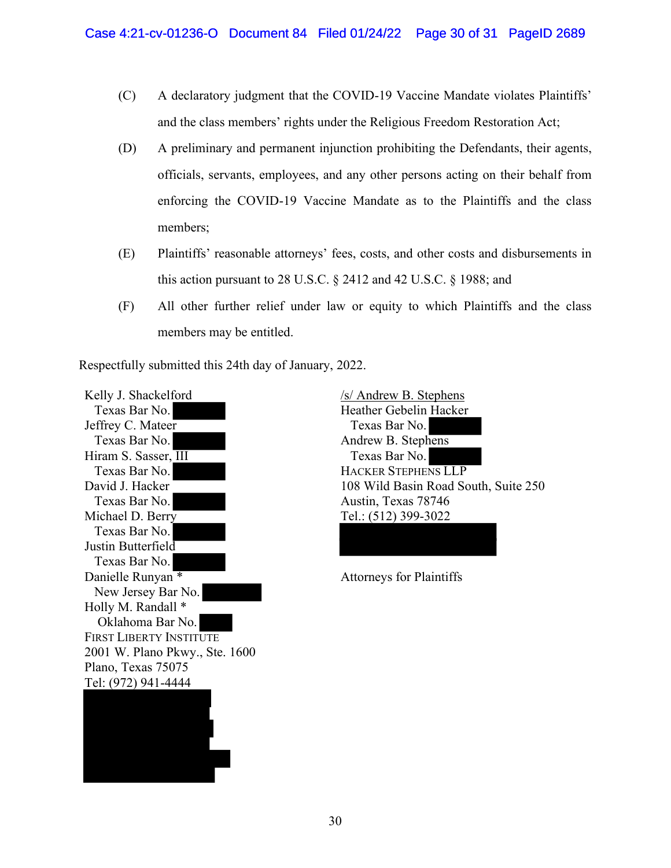- (C) A declaratory judgment that the COVID-19 Vaccine Mandate violates Plaintiffs' and the class members' rights under the Religious Freedom Restoration Act;
- (D) A preliminary and permanent injunction prohibiting the Defendants, their agents, officials, servants, employees, and any other persons acting on their behalf from enforcing the COVID-19 Vaccine Mandate as to the Plaintiffs and the class members;
- (E) Plaintiffs' reasonable attorneys' fees, costs, and other costs and disbursements in this action pursuant to 28 U.S.C. § 2412 and 42 U.S.C. § 1988; and
- (F) All other further relief under law or equity to which Plaintiffs and the class members may be entitled.

Respectfully submitted this 24th day of January, 2022.

Kelly J. Shackelford Texas Bar No. Jeffrey C. Mateer Texas Bar No. Hiram S. Sasser, III Texas Bar No. David J. Hacker Texas Bar No. Michael D. Berry Texas Bar No. Justin Butterfield Texas Bar No. Danielle Runyan<sup>\*</sup> New Jersey Bar No. Holly M. Randall \* Oklahoma Bar No. FIRST LIBERTY INSTITUTE 2001 W. Plano Pkwy., Ste. 1600 Plano, Texas 75075 Tel: (972) 941-4444

/s/ Andrew B. Stephens Heather Gebelin Hacker Texas Bar No. Andrew B. Stephens Texas Bar No. HACKER STEPHENS LLP 108 Wild Basin Road South, Suite 250 Austin, Texas 78746 Tel.: (512) 399-3022

Attorneys for Plaintiffs